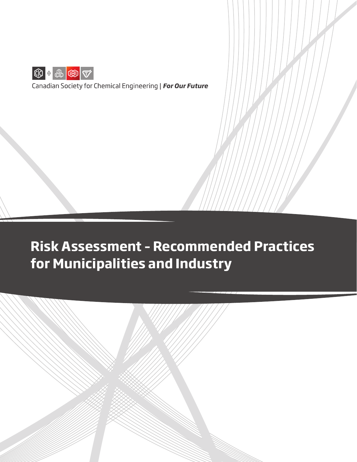

Canadian Society for Chemical Engineering | For Our Future

# **Risk Assessment – Recommended Practices for Municipalities and Industry**

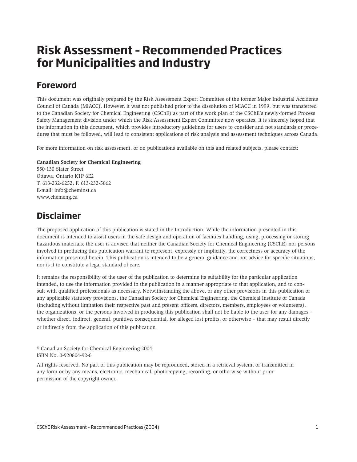# **Risk Assessment – Recommended Practices for Municipalities and Industry**

# **Foreword**

This document was originally prepared by the Risk Assessment Expert Committee of the former Major Industrial Accidents Council of Canada (MIACC). However, it was not published prior to the dissolution of MIACC in 1999, but was transferred to the Canadian Society for Chemical Engineering (CSChE) as part of the work plan of the CSChE's newly-formed Process Safety Management division under which the Risk Assessment Expert Committee now operates. It is sincerely hoped that the information in this document, which provides introductory guidelines for users to consider and not standards or procedures that must be followed, will lead to consistent applications of risk analysis and assessment techniques across Canada.

For more information on risk assessment, or on publications available on this and related subjects, please contact:

#### **Canadian Society for Chemical Engineering**

550-130 Slater Street Ottawa, Ontario K1P 6E2 T. 613-232-6252, F. 613-232-5862 E-mail: info@cheminst.ca www.chemeng.ca

## **Disclaimer**

The proposed application of this publication is stated in the Introduction. While the information presented in this document is intended to assist users in the safe design and operation of facilities handling, using, processing or storing hazardous materials, the user is advised that neither the Canadian Society for Chemical Engineering (CSChE) nor persons involved in producing this publication warrant to represent, expressly or implicitly, the correctness or accuracy of the information presented herein. This publication is intended to be a general guidance and not advice for specific situations, nor is it to constitute a legal standard of care.

It remains the responsibility of the user of the publication to determine its suitability for the particular application intended, to use the information provided in the publication in a manner appropriate to that application, and to consult with qualified professionals as necessary. Notwithstanding the above, or any other provisions in this publication or any applicable statutory provisions, the Canadian Society for Chemical Engineering, the Chemical Institute of Canada (including without limitation their respective past and present officers, directors, members, employees or volunteers), the organizations, or the persons involved in producing this publication shall not be liable to the user for any damages – whether direct, indirect, general, punitive, consequential, for alleged lost profits, or otherwise – that may result directly or indirectly from the application of this publication

© Canadian Society for Chemical Engineering 2004 ISBN No. 0-920804-92-6

All rights reserved. No part of this publication may be reproduced, stored in a retrieval system, or transmitted in any form or by any means, electronic, mechanical, photocopying, recording, or otherwise without prior permission of the copyright owner.

CSChE Risk Assessment – Recommended Practices (2004) 1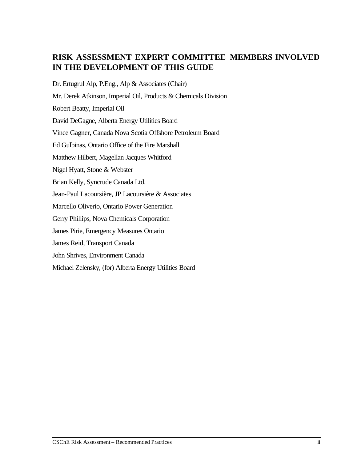## **RISK ASSESSMENT EXPERT COMMITTEE MEMBERS INVOLVED IN THE DEVELOPMENT OF THIS GUIDE**

Dr. Ertugrul Alp, P.Eng., Alp & Associates (Chair) Mr. Derek Atkinson, Imperial Oil, Products & Chemicals Division Robert Beatty, Imperial Oil David DeGagne, Alberta Energy Utilities Board Vince Gagner, Canada Nova Scotia Offshore Petroleum Board Ed Gulbinas, Ontario Office of the Fire Marshall Matthew Hilbert, Magellan Jacques Whitford Nigel Hyatt, Stone & Webster Brian Kelly, Syncrude Canada Ltd. Jean-Paul Lacoursière, JP Lacoursière & Associates Marcello Oliverio, Ontario Power Generation Gerry Phillips, Nova Chemicals Corporation James Pirie, Emergency Measures Ontario James Reid, Transport Canada John Shrives, Environment Canada Michael Zelensky, (for) Alberta Energy Utilities Board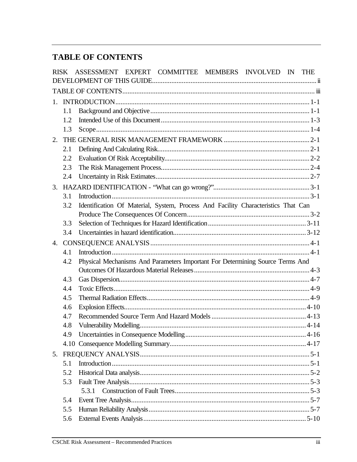# **TABLE OF CONTENTS**

| $1_{-}$<br>1.1<br>1.2                                                                    |  |
|------------------------------------------------------------------------------------------|--|
|                                                                                          |  |
|                                                                                          |  |
|                                                                                          |  |
|                                                                                          |  |
| 1.3                                                                                      |  |
|                                                                                          |  |
| 2.                                                                                       |  |
| 2.1                                                                                      |  |
| 2.2                                                                                      |  |
| 2.3                                                                                      |  |
| 2.4                                                                                      |  |
|                                                                                          |  |
| 3.1                                                                                      |  |
| Identification Of Material, System, Process And Facility Characteristics That Can<br>3.2 |  |
| 3.3                                                                                      |  |
| 3.4                                                                                      |  |
|                                                                                          |  |
| 4.1                                                                                      |  |
| Physical Mechanisms And Parameters Important For Determining Source Terms And<br>4.2     |  |
|                                                                                          |  |
| 4.3                                                                                      |  |
| 4.4                                                                                      |  |
| 4.5                                                                                      |  |
| 4.6                                                                                      |  |
| 4.7                                                                                      |  |
| 4.8                                                                                      |  |
| 4.9                                                                                      |  |
|                                                                                          |  |
|                                                                                          |  |
| 5.1                                                                                      |  |
| 5.2                                                                                      |  |
| 5.3                                                                                      |  |
| 5.3.1                                                                                    |  |
| 5.4                                                                                      |  |
| 5.5                                                                                      |  |
| 5.6                                                                                      |  |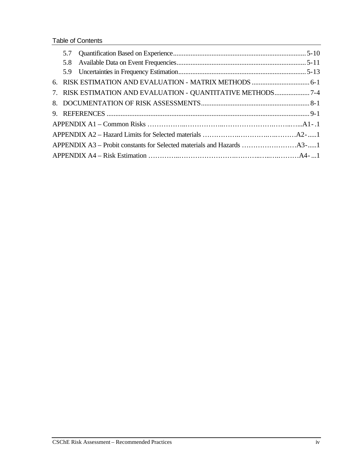Table of Contents

|  | 7. RISK ESTIMATION AND EVALUATION - QUANTITATIVE METHODS7-4 |  |
|--|-------------------------------------------------------------|--|
|  |                                                             |  |
|  |                                                             |  |
|  |                                                             |  |
|  |                                                             |  |
|  |                                                             |  |
|  |                                                             |  |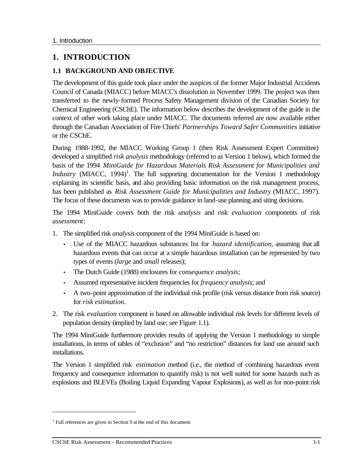## **1. INTRODUCTION**

## **1.1 BACKGROUND AND OBJECTIVE**

The development of this guide took place under the auspices of the former Major Industrial Accidents Council of Canada (MIACC) before MIACC's dissolution in November 1999. The project was then transferred to the newly-formed Process Safety Management division of the Canadian Society for Chemical Engineering (CSChE). The information below describes the development of the guide in the context of other work taking place under MIACC. The documents referred are now available either through the Canadian Association of Fire Chiefs' *Partnerships Toward Safer Communities* initiative or the CSChE.

During 1988-1992, the MIACC Working Group 1 (then Risk Assessment Expert Committee) developed a simplified *risk analysis* methodology (referred to as Version 1 below), which formed the basis of the 1994 *MiniGuide for Hazardous Materials Risk Assessment for Municipalities and Industry* (MIACC, 1994)<sup>1</sup>. The full supporting documentation for the Version 1 methodology explaining its scientific basis, and also providing basic information on the risk management process, has been published as *Risk Assessment Guide for Municipalities and Industry* (MIACC, 1997). The focus of these documents was to provide guidance in land-use planning and siting decisions.

The 1994 MiniGuide covers both the risk *analysis* and risk *evaluation* components of risk *assessment*:

- 1. The simplified risk *analysis* component of the 1994 MiniGuide is based on:
	- Use of the MIACC hazardous substances list for *hazard identification*, assuming that all hazardous events that can occur at a simple hazardous installation can be represented by two types of events (*large* and *small* releases);
	- The Dutch Guide (1988) enclosures for *consequence analysis*;
	- Assumed representative incident frequencies for *frequency analysis*; and
	- A two-point approximation of the individual risk profile (risk versus distance from risk source) for *risk estimation*.
- 2. The risk *evaluation* component is based on allowable individual risk levels for different levels of population density (implied by land use; see Figure 1.1).

The 1994 MiniGuide furthermore provides results of applying the Version 1 methodology to simple installations, in terms of tables of "exclusion" and "no restriction" distances for land use around such installations.

The Version 1 simplified risk *estimation* method (i.e., the method of combining hazardous event frequency and consequence information to quantify risk) is not well suited for some hazards such as explosions and BLEVEs (Boiling Liquid Expanding Vapour Explosions), as well as for non-point risk

 $\overline{a}$ 

<sup>&</sup>lt;sup>1</sup> Full references are given in Section 9 at the end of this document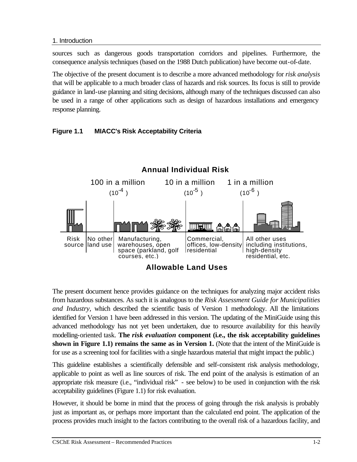sources such as dangerous goods transportation corridors and pipelines. Furthermore, the consequence analysis techniques (based on the 1988 Dutch publication) have become out-of-date.

The objective of the present document is to describe a more advanced methodology for *risk analysis*  that will be applicable to a much broader class of hazards and risk sources. Its focus is still to provide guidance in land-use planning and siting decisions, although many of the techniques discussed can also be used in a range of other applications such as design of hazardous installations and emergency response planning.

## **Figure 1.1 MIACC's Risk Acceptability Criteria**



The present document hence provides guidance on the techniques for analyzing major accident risks from hazardous substances. As such it is analogous to the *Risk Assessment Guide for Municipalities and Industry,* which described the scientific basis of Version 1 methodology. All the limitations identified for Version 1 have been addressed in this version. The updating of the MiniGuide using this advanced methodology has not yet been undertaken, due to resource availability for this heavily modelling-oriented task. **The** *risk evaluation* **component (i.e., the risk acceptability guidelines shown in Figure 1.1) remains the same as in Version 1.** (Note that the intent of the MiniGuide is for use as a screening tool for facilities with a single hazardous material that might impact the public.)

This guideline establishes a scientifically defensible and self-consistent risk analysis methodology, applicable to point as well as line sources of risk. The end point of the analysis is estimation of an appropriate risk measure (i.e., "individual risk" - see below) to be used in conjunction with the risk acceptability guidelines (Figure 1.1) for risk evaluation.

However, it should be borne in mind that the process of going through the risk analysis is probably just as important as, or perhaps more important than the calculated end point. The application of the process provides much insight to the factors contributing to the overall risk of a hazardous facility, and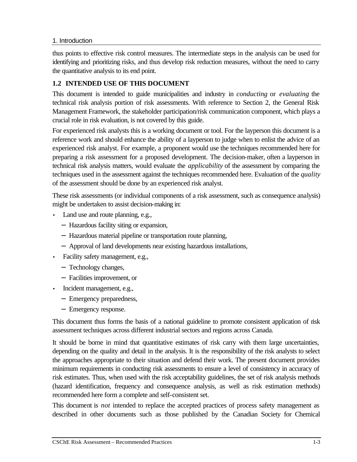thus points to effective risk control measures. The intermediate steps in the analysis can be used for identifying and prioritizing risks, and thus develop risk reduction measures, without the need to carry the quantitative analysis to its end point.

## **1.2 INTENDED USE OF THIS DOCUMENT**

This document is intended to guide municipalities and industry in *conducting* or *evaluating* the technical risk analysis portion of risk assessments. With reference to Section 2, the General Risk Management Framework, the stakeholder participation/risk communication component, which plays a crucial role in risk evaluation, is not covered by this guide.

For experienced risk analysts this is a working document or tool. For the layperson this document is a reference work and should enhance the ability of a layperson to judge when to enlist the advice of an experienced risk analyst. For example, a proponent would use the techniques recommended here for preparing a risk assessment for a proposed development. The decision-maker, often a layperson in technical risk analysis matters, would evaluate the *applicability* of the assessment by comparing the techniques used in the assessment against the techniques recommended here. Evaluation of the *quality* of the assessment should be done by an experienced risk analyst.

These risk assessments (or individual components of a risk assessment, such as consequence analysis) might be undertaken to assist decision-making in:

- Land use and route planning, e.g.,
	- − Hazardous facility siting or expansion,
	- − Hazardous material pipeline or transportation route planning,
	- − Approval of land developments near existing hazardous installations,
- Facility safety management, e.g.,
	- − Technology changes,
	- − Facilities improvement, or
- Incident management, e.g.,
	- − Emergency preparedness,
	- − Emergency response.

This document thus forms the basis of a national guideline to promote consistent application of risk assessment techniques across different industrial sectors and regions across Canada.

It should be borne in mind that quantitative estimates of risk carry with them large uncertainties, depending on the quality and detail in the analysis. It is the responsibility of the risk analysts to select the approaches appropriate to their situation and defend their work. The present document provides minimum requirements in conducting risk assessments to ensure a level of consistency in accuracy of risk estimates. Thus, when used with the risk acceptability guidelines, the set of risk analysis methods (hazard identification, frequency and consequence analysis, as well as risk estimation methods) recommended here form a complete and self-consistent set.

This document is *not* intended to replace the accepted practices of process safety management as described in other documents such as those published by the Canadian Society for Chemical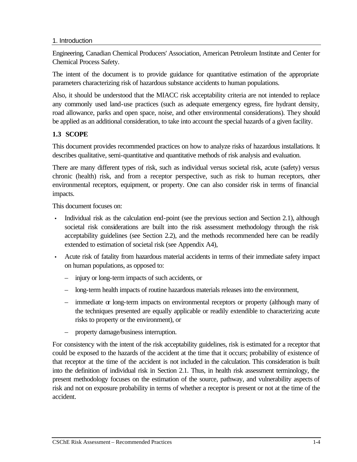Engineering, Canadian Chemical Producers' Association, American Petroleum Institute and Center for Chemical Process Safety.

The intent of the document is to provide guidance for quantitative estimation of the appropriate parameters characterizing risk of hazardous substance accidents to human populations.

Also, it should be understood that the MIACC risk acceptability criteria are not intended to replace any commonly used land-use practices (such as adequate emergency egress, fire hydrant density, road allowance, parks and open space, noise, and other environmental considerations). They should be applied as an additional consideration, to take into account the special hazards of a given facility.

## **1.3 SCOPE**

This document provides recommended practices on how to analyze risks of hazardous installations. It describes qualitative, semi-quantitative and quantitative methods of risk analysis and evaluation.

There are many different types of risk, such as individual versus societal risk, acute (safety) versus chronic (health) risk, and from a receptor perspective, such as risk to human receptors, other environmental receptors, equipment, or property. One can also consider risk in terms of financial impacts.

This document focuses on:

- Individual risk as the calculation end-point (see the previous section and Section 2.1), although societal risk considerations are built into the risk assessment methodology through the risk acceptability guidelines (see Section 2.2), and the methods recommended here can be readily extended to estimation of societal risk (see Appendix A4),
- Acute risk of fatality from hazardous material accidents in terms of their immediate safety impact on human populations, as opposed to:
	- injury or long-term impacts of such accidents, or
	- long-term health impacts of routine hazardous materials releases into the environment,
	- $-$  immediate  $\alpha$  long-term impacts on environmental receptors or property (although many of the techniques presented are equally applicable or readily extendible to characterizing acute risks to property or the environment), or
	- property damage/business interruption.

For consistency with the intent of the risk acceptability guidelines, risk is estimated for a receptor that could be exposed to the hazards of the accident at the time that it occurs; probability of existence of that receptor at the time of the accident is not included in the calculation. This consideration is built into the definition of individual risk in Section 2.1. Thus, in health risk assessment terminology, the present methodology focuses on the estimation of the source, pathway, and vulnerability aspects of risk and not on exposure probability in terms of whether a receptor is present or not at the time of the accident.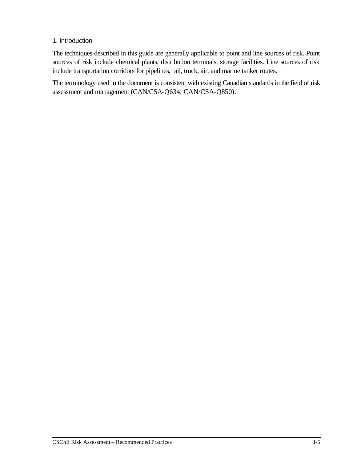The techniques described in this guide are generally applicable to point and line sources of risk. Point sources of risk include chemical plants, distribution terminals, storage facilities. Line sources of risk include transportation corridors for pipelines, rail, truck, air, and marine tanker routes.

The terminology used in the document is consistent with existing Canadian standards in the field of risk assessment and management (CAN/CSA-Q634, CAN/CSA-Q850).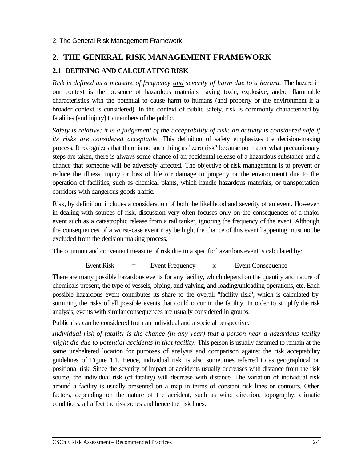## **2. THE GENERAL RISK MANAGEMENT FRAMEWORK**

## **2.1 DEFINING AND CALCULATING RISK**

*Risk is defined as a measure of frequency and severity of harm due to a hazard.* The hazard in our context is the presence of hazardous materials having toxic, explosive, and/or flammable characteristics with the potential to cause harm to humans (and property or the environment if a broader context is considered). In the context of public safety, risk is commonly characterized by fatalities (and injury) to members of the public.

*Safety is relative; it is a judgement of the acceptability of risk: an activity is considered safe if its risks are considered acceptable.* This definition of safety emphasizes the decision-making process. It recognizes that there is no such thing as "zero risk" because no matter what precautionary steps are taken, there is always some chance of an accidental release of a hazardous substance and a chance that someone will be adversely affected. The objective of risk management is to prevent or reduce the illness, injury or loss of life (or damage to property or the environment) due to the operation of facilities, such as chemical plants, which handle hazardous materials, or transportation corridors with dangerous goods traffic.

Risk, by definition, includes a consideration of both the likelihood and severity of an event. However, in dealing with sources of risk, discussion very often focuses only on the consequences of a major event such as a catastrophic release from a rail tanker, ignoring the frequency of the event. Although the consequences of a worst-case event may be high, the chance of this event happening must not be excluded from the decision making process.

The common and convenient measure of risk due to a specific hazardous event is calculated by:

Event Risk = Event Frequency x Event Consequence

There are many possible hazardous events for any facility, which depend on the quantity and nature of chemicals present, the type of vessels, piping, and valving, and loading/unloading operations, etc. Each possible hazardous event contributes its share to the overall "facility risk", which is calculated by summing the risks of all possible events that could occur in the facility. In order to simplify the risk analysis, events with similar consequences are usually considered in groups.

Public risk can be considered from an individual and a societal perspective.

*Individual risk of fatality is the chance (in any year) that a person near a hazardous facility might die due to potential accidents in that facility.* This person is usually assumed to remain at the same unsheltered location for purposes of analysis and comparison against the risk acceptability guidelines of Figure 1.1. Hence, individual risk is also sometimes referred to as geographical or positional risk. Since the severity of impact of accidents usually decreases with distance from the risk source, the individual risk (of fatality) will decrease with distance. The variation of individual risk around a facility is usually presented on a map in terms of constant risk lines or contours. Other factors, depending on the nature of the accident, such as wind direction, topography, climatic conditions, all affect the risk zones and hence the risk lines.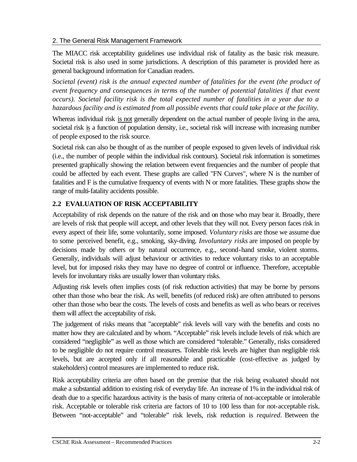The MIACC risk acceptability guidelines use individual risk of fatality as the basic risk measure. Societal risk is also used in some jurisdictions. A description of this parameter is provided here as general background information for Canadian readers.

*Societal (event) risk is the annual expected number of fatalities for the event (the product of event frequency and consequences in terms of the number of potential fatalities if that event occurs). Societal facility risk is the total expected number of fatalities in a year due to a hazardous facility and is estimated from all possible events that could take place at the facility.*

Whereas individual risk is not generally dependent on the actual number of people living in the area, societal risk is a function of population density, i.e., societal risk will increase with increasing number of people exposed to the risk source.

Societal risk can also be thought of as the number of people exposed to given levels of individual risk (i.e., the number of people within the individual risk contours). Societal risk information is sometimes presented graphically showing the relation between event frequencies and the number of people that could be affected by each event. These graphs are called "FN Curves", where N is the number of fatalities and F is the cumulative frequency of events with N or more fatalities. These graphs show the range of multi-fatality accidents possible.

## **2.2 EVALUATION OF RISK ACCEPTABILITY**

Acceptability of risk depends on the nature of the risk and on those who may bear it. Broadly, there are levels of risk that people will accept, and other levels that they will not. Every person faces risk in every aspect of their life, some voluntarily, some imposed. *Voluntary risks* are those we assume due to some perceived benefit, e.g., smoking, sky-diving. *Involuntary risks* are imposed on people by decisions made by others or by natural occurrence, e.g., second-hand smoke, violent storms. Generally, individuals will adjust behaviour or activities to reduce voluntary risks to an acceptable level, but for imposed risks they may have no degree of control or influence. Therefore, acceptable levels for involuntary risks are usually lower than voluntary risks.

Adjusting risk levels often implies costs (of risk reduction activities) that may be borne by persons other than those who bear the risk. As well, benefits (of reduced risk) are often attributed to persons other than those who bear the costs. The levels of costs and benefits as well as who bears or receives them will affect the acceptability of risk.

The judgement of risks means that "acceptable" risk levels will vary with the benefits and costs no matter how they are calculated and by whom. "Acceptable" risk levels include levels of risk which are considered "negligible" as well as those which are considered "tolerable." Generally, risks considered to be negligible do not require control measures. Tolerable risk levels are higher than negligible risk levels, but are accepted only if all reasonable and practicable (cost-effective as judged by stakeholders) control measures are implemented to reduce risk.

Risk acceptability criteria are often based on the premise that the risk being evaluated should not make a substantial addition to existing risk of everyday life. An increase of 1% in the individual risk of death due to a specific hazardous activity is the basis of many criteria of not-acceptable or intolerable risk. Acceptable or tolerable risk criteria are factors of 10 to 100 less than for not-acceptable risk. Between "not-acceptable" and "tolerable" risk levels, risk reduction is *required*. Between the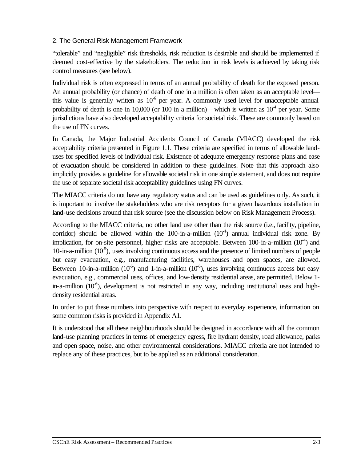"tolerable" and "negligible" risk thresholds, risk reduction is desirable and should be implemented if deemed cost-effective by the stakeholders. The reduction in risk levels is achieved by taking risk control measures (see below).

Individual risk is often expressed in terms of an annual probability of death for the exposed person. An annual probability (or chance) of death of one in a million is often taken as an acceptable level this value is generally written as  $10<sup>-6</sup>$  per year. A commonly used level for unacceptable annual probability of death is one in 10,000 (or 100 in a million)—which is written as  $10<sup>4</sup>$  per year. Some jurisdictions have also developed acceptability criteria for societal risk. These are commonly based on the use of FN curves.

In Canada, the Major Industrial Accidents Council of Canada (MIACC) developed the risk acceptability criteria presented in Figure 1.1. These criteria are specified in terms of allowable landuses for specified levels of individual risk. Existence of adequate emergency response plans and ease of evacuation should be considered in addition to these guidelines. Note that this approach also implicitly provides a guideline for allowable societal risk in one simple statement, and does not require the use of separate societal risk acceptability guidelines using FN curves.

The MIACC criteria do not have any regulatory status and can be used as guidelines only. As such, it is important to involve the stakeholders who are risk receptors for a given hazardous installation in land-use decisions around that risk source (see the discussion below on Risk Management Process).

According to the MIACC criteria, no other land use other than the risk source (i.e., facility, pipeline, corridor) should be allowed within the 100-in-a-million  $(10^4)$  annual individual risk zone. By implication, for on-site personnel, higher risks are acceptable. Between 100-in-a-million  $(10<sup>4</sup>)$  and 10-in-a-million  $(10^{-5})$ , uses involving continuous access and the presence of limited numbers of people but easy evacuation, e.g., manufacturing facilities, warehouses and open spaces, are allowed. Between 10-in-a-million  $(10^{-5})$  and 1-in-a-million  $(10^{-6})$ , uses involving continuous access but easy evacuation, e.g., commercial uses, offices, and low-density residential areas, are permitted. Below 1 in-a-million  $(10<sup>-6</sup>)$ , development is not restricted in any way, including institutional uses and highdensity residential areas.

In order to put these numbers into perspective with respect to everyday experience, information on some common risks is provided in Appendix A1.

It is understood that all these neighbourhoods should be designed in accordance with all the common land-use planning practices in terms of emergency egress, fire hydrant density, road allowance, parks and open space, noise, and other environmental considerations. MIACC criteria are not intended to replace any of these practices, but to be applied as an additional consideration.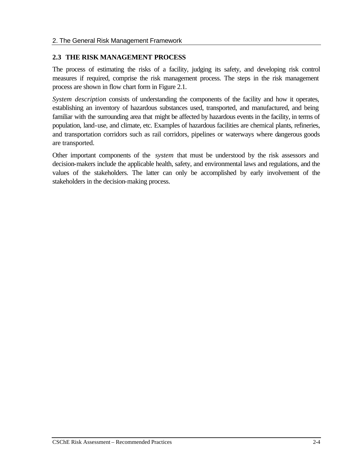#### **2.3 THE RISK MANAGEMENT PROCESS**

The process of estimating the risks of a facility, judging its safety, and developing risk control measures if required, comprise the risk management process. The steps in the risk management process are shown in flow chart form in Figure 2.1.

*System description* consists of understanding the components of the facility and how it operates, establishing an inventory of hazardous substances used, transported, and manufactured, and being familiar with the surrounding area that might be affected by hazardous events in the facility, in terms of population, land-use, and climate, etc. Examples of hazardous facilities are chemical plants, refineries, and transportation corridors such as rail corridors, pipelines or waterways where dangerous goods are transported.

Other important components of the *system* that must be understood by the risk assessors and decision-makers include the applicable health, safety, and environmental laws and regulations, and the values of the stakeholders. The latter can only be accomplished by early involvement of the stakeholders in the decision-making process.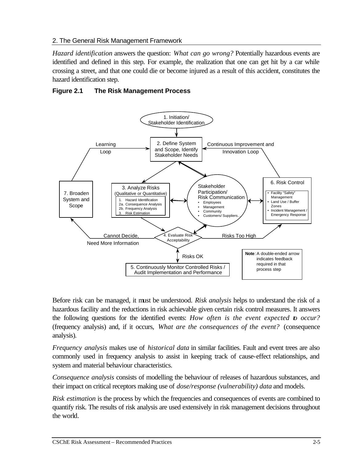*Hazard identification* answers the question: *What can go wrong?* Potentially hazardous events are identified and defined in this step. For example, the realization that one can get hit by a car while crossing a street, and that one could die or become injured as a result of this accident, constitutes the hazard identification step.

## **Figure 2.1 The Risk Management Process**



Before risk can be managed, it must be understood. *Risk analysis* helps to understand the risk of a hazardous facility and the reductions in risk achievable given certain risk control measures. It answers the following questions for the identified events: *How often is the event expected to occur?* (frequency analysis) and, if it occurs, *What are the consequences of the event?* (consequence analysis).

*Frequency analysis* makes use of *historical data* in similar facilities. Fault and event trees are also commonly used in frequency analysis to assist in keeping track of cause-effect relationships, and system and material behaviour characteristics.

*Consequence analysis* consists of modelling the behaviour of releases of hazardous substances, and their impact on critical receptors making use of *dose/response (vulnerability) data* and models.

*Risk estimation* is the process by which the frequencies and consequences of events are combined to quantify risk. The results of risk analysis are used extensively in risk management decisions throughout the world.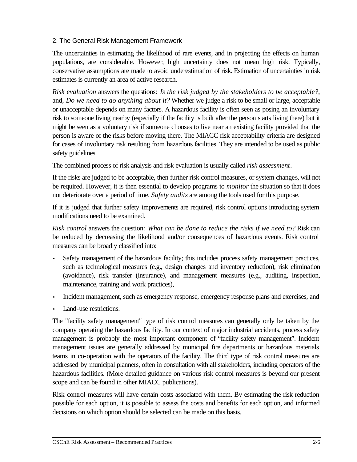The uncertainties in estimating the likelihood of rare events, and in projecting the effects on human populations, are considerable. However, high uncertainty does not mean high risk. Typically, conservative assumptions are made to avoid underestimation of risk. Estimation of uncertainties in risk estimates is currently an area of active research.

*Risk evaluation* answers the questions: *Is the risk judged by the stakeholders to be acceptable?*, and, *Do we need to do anything about it?* Whether we judge a risk to be small or large, acceptable or unacceptable depends on many factors. A hazardous facility is often seen as posing an involuntary risk to someone living nearby (especially if the facility is built after the person starts living there) but it might be seen as a voluntary risk if someone chooses to live near an existing facility provided that the person is aware of the risks before moving there. The MIACC risk acceptability criteria are designed for cases of involuntary risk resulting from hazardous facilities. They are intended to be used as public safety guidelines.

The combined process of risk analysis and risk evaluation is usually called *risk assessment*.

If the risks are judged to be acceptable, then further risk control measures, or system changes, will not be required. However, it is then essential to develop programs to *monitor* the situation so that it does not deteriorate over a period of time. *Safety audits* are among the tools used for this purpose.

If it is judged that further safety improvements are required, risk control options introducing system modifications need to be examined.

*Risk control* answers the question: *What can be done to reduce the risks if we need to?* Risk can be reduced by decreasing the likelihood and/or consequences of hazardous events. Risk control measures can be broadly classified into:

- Safety management of the hazardous facility; this includes process safety management practices, such as technological measures (e.g., design changes and inventory reduction), risk elimination (avoidance), risk transfer (insurance), and management measures (e.g., auditing, inspection, maintenance, training and work practices),
- Incident management, such as emergency response, emergency response plans and exercises, and
- Land-use restrictions.

The "facility safety management" type of risk control measures can generally only be taken by the company operating the hazardous facility. In our context of major industrial accidents, process safety management is probably the most important component of "facility safety management". Incident management issues are generally addressed by municipal fire departments or hazardous materials teams in co-operation with the operators of the facility. The third type of risk control measures are addressed by municipal planners, often in consultation with all stakeholders, including operators of the hazardous facilities. (More detailed guidance on various risk control measures is beyond our present scope and can be found in other MIACC publications).

Risk control measures will have certain costs associated with them. By estimating the risk reduction possible for each option, it is possible to assess the costs and benefits for each option, and informed decisions on which option should be selected can be made on this basis.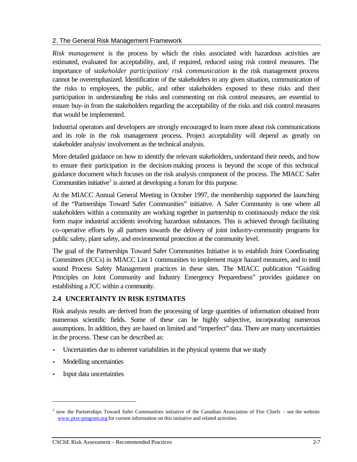*Risk management* is the process by which the risks associated with hazardous activities are estimated, evaluated for acceptability, and, if required, reduced using risk control measures. The importance of s*takeholder participation/ risk communication* in the risk management process cannot be overemphasized. Identification of the stakeholders in any given situation, communication of the risks to employees, the public, and other stakeholders exposed to these risks and their participation in understanding the risks and commenting on risk control measures, are essential to ensure buy-in from the stakeholders regarding the acceptability of the risks and risk control measures that would be implemented.

Industrial operators and developers are strongly encouraged to learn more about risk communications and its role in the risk management process. Project acceptability will depend as greatly on stakeholder analysis/ involvement as the technical analysis.

More detailed guidance on how to identify the relevant stakeholders, understand their needs, and how to ensure their participation in the decision-making process is beyond the scope of this technical guidance document which focuses on the risk analysis component of the process. The MIACC Safer Communities initiative<sup>2</sup> is aimed at developing a forum for this purpose.

At the MIACC Annual General Meeting in October 1997, the membership supported the launching of the "Partnerships Toward Safer Communities" initiative. A Safer Community is one where all stakeholders within a community are working together in partnership to continuously reduce the risk form major industrial accidents involving hazardous substances. This is achieved through facilitating co-operative efforts by all partners towards the delivery of joint industry-community programs for public safety, plant safety, and environmental protection at the community level.

The goal of the Partnerships Toward Safer Communities Initiative is to establish Joint Coordinating Committees (JCCs) in MIACC List 1 communities to implement major hazard measures, and to instil sound Process Safety Management practices in these sites. The MIACC publication "Guiding Principles on Joint Community and Industry Emergency Preparedness" provides guidance on establishing a JCC within a community.

## **2.4 UNCERTAINTY IN RISK ESTIMATES**

Risk analysis results are derived from the processing of large quantities of information obtained from numerous scientific fields. Some of these can be highly subjective, incorporating numerous assumptions. In addition, they are based on limited and "imperfect" data. There are many uncertainties in the process. These can be described as:

- Uncertainties due to inherent variabilities in the physical systems that we study
- Modelling uncertainties
- Input data uncertainties

 $\overline{a}$ 

<sup>&</sup>lt;sup>2</sup> now the Partnerships Toward Safer Communities initiative of the Canadian Association of Fire Chiefs – see the website www.ptsc-program.org for current information on this initiative and related activities.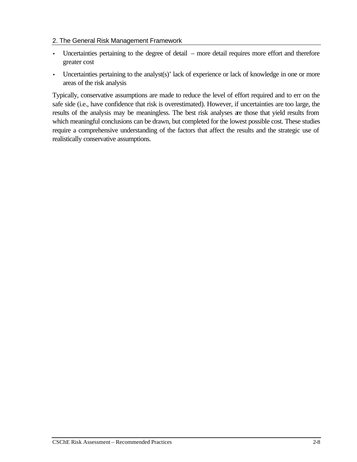- Uncertainties pertaining to the degree of detail more detail requires more effort and therefore greater cost
- Uncertainties pertaining to the analyst(s)' lack of experience or lack of knowledge in one or more areas of the risk analysis

Typically, conservative assumptions are made to reduce the level of effort required and to err on the safe side (i.e., have confidence that risk is overestimated). However, if uncertainties are too large, the results of the analysis may be meaningless. The best risk analyses are those that yield results from which meaningful conclusions can be drawn, but completed for the lowest possible cost. These studies require a comprehensive understanding of the factors that affect the results and the strategic use of realistically conservative assumptions.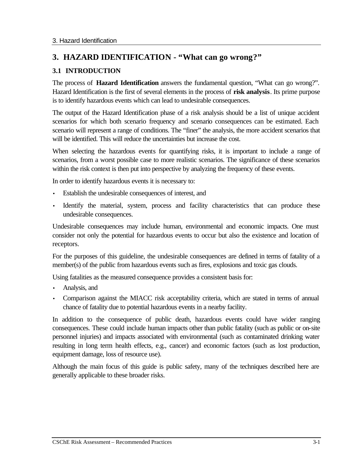## **3. HAZARD IDENTIFICATION - "What can go wrong?"**

## **3.1 INTRODUCTION**

The process of **Hazard Identification** answers the fundamental question, "What can go wrong?". Hazard Identification is the first of several elements in the process of **risk analysis**. Its prime purpose is to identify hazardous events which can lead to undesirable consequences.

The output of the Hazard Identification phase of a risk analysis should be a list of unique accident scenarios for which both scenario frequency and scenario consequences can be estimated. Each scenario will represent a range of conditions. The "finer" the analysis, the more accident scenarios that will be identified. This will reduce the uncertainties but increase the cost.

When selecting the hazardous events for quantifying risks, it is important to include a range of scenarios, from a worst possible case to more realistic scenarios. The significance of these scenarios within the risk context is then put into perspective by analyzing the frequency of these events.

In order to identify hazardous events it is necessary to:

- Establish the undesirable consequences of interest, and
- Identify the material, system, process and facility characteristics that can produce these undesirable consequences.

Undesirable consequences may include human, environmental and economic impacts. One must consider not only the potential for hazardous events to occur but also the existence and location of receptors.

For the purposes of this guideline, the undesirable consequences are defined in terms of fatality of a member(s) of the public from hazardous events such as fires, explosions and toxic gas clouds.

Using fatalities as the measured consequence provides a consistent basis for:

- Analysis, and
- Comparison against the MIACC risk acceptability criteria, which are stated in terms of annual chance of fatality due to potential hazardous events in a nearby facility.

In addition to the consequence of public death, hazardous events could have wider ranging consequences. These could include human impacts other than public fatality (such as public or on-site personnel injuries) and impacts associated with environmental (such as contaminated drinking water resulting in long term health effects, e.g., cancer) and economic factors (such as lost production, equipment damage, loss of resource use).

Although the main focus of this guide is public safety, many of the techniques described here are generally applicable to these broader risks.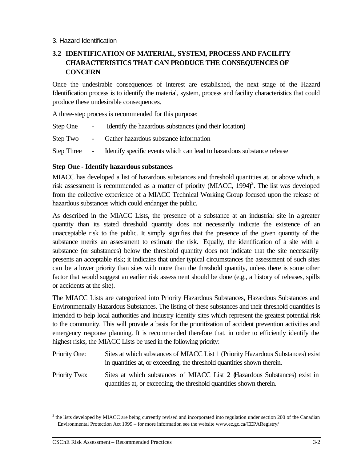## **3.2 IDENTIFICATION OF MATERIAL, SYSTEM, PROCESS AND FACILITY CHARACTERISTICS THAT CAN PRODUCE THE CONSEQUENCES OF CONCERN**

Once the undesirable consequences of interest are established, the next stage of the Hazard Identification process is to identify the material, system, process and facility characteristics that could produce these undesirable consequences.

A three-step process is recommended for this purpose:

- Step One Identify the hazardous substances (and their location)
- Step Two Gather hazardous substance information
- Step Three Identify specific events which can lead to hazardous substance release

## **Step One - Identify hazardous substances**

MIACC has developed a list of hazardous substances and threshold quantities at, or above which, a risk assessment is recommended as a matter of priority (MIACC, 1994**) 3** . The list was developed from the collective experience of a MIACC Technical Working Group focused upon the release of hazardous substances which could endanger the public.

As described in the MIACC Lists, the presence of a substance at an industrial site in a greater quantity than its stated threshold quantity does not necessarily indicate the existence of an unacceptable risk to the public. It simply signifies that the presence of the given quantity of the substance merits an assessment to estimate the risk. Equally, the identification of a site with a substance (or substances) below the threshold quantity does not indicate that the site necessarily presents an acceptable risk; it indicates that under typical circumstances the assessment of such sites can be a lower priority than sites with more than the threshold quantity, unless there is some other factor that would suggest an earlier risk assessment should be done (e.g., a history of releases, spills or accidents at the site).

The MIACC Lists are categorized into Priority Hazardous Substances, Hazardous Substances and Environmentally Hazardous Substances. The listing of these substances and their threshold quantities is intended to help local authorities and industry identify sites which represent the greatest potential risk to the community. This will provide a basis for the prioritization of accident prevention activities and emergency response planning. It is recommended therefore that, in order to efficiently identify the highest risks, the MIACC Lists be used in the following priority:

- Priority One: Sites at which substances of MIACC List 1 (Priority Hazardous Substances) exist in quantities at, or exceeding, the threshold quantities shown therein.
- Priority Two: Sites at which substances of MIACC List 2 (Hazardous Substances) exist in quantities at, or exceeding, the threshold quantities shown therein.

 $\overline{a}$ 

 $3$  the lists developed by MIACC are being currently revised and incorporated into regulation under section 200 of the Canadian Environmental Protection Act 1999 – for more information see the website www.ec.gc.ca/CEPARegistry/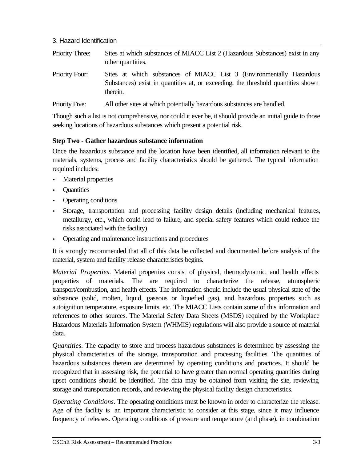| Priority Three:       | Sites at which substances of MIACC List 2 (Hazardous Substances) exist in any<br>other quantities.                                                                   |
|-----------------------|----------------------------------------------------------------------------------------------------------------------------------------------------------------------|
| <b>Priority Four:</b> | Sites at which substances of MIACC List 3 (Environmentally Hazardous<br>Substances) exist in quantities at, or exceeding, the threshold quantities shown<br>therein. |
| Priority Five:        | All other sites at which potentially hazardous substances are handled.                                                                                               |

Though such a list is not comprehensive, nor could it ever be, it should provide an initial guide to those seeking locations of hazardous substances which present a potential risk.

## **Step Two - Gather hazardous substance information**

Once the hazardous substance and the location have been identified, all information relevant to the materials, systems, process and facility characteristics should be gathered. The typical information required includes:

- **Material properties**
- **Quantities**
- Operating conditions
- Storage, transportation and processing facility design details (including mechanical features, metallurgy, etc., which could lead to failure, and special safety features which could reduce the risks associated with the facility)
- Operating and maintenance instructions and procedures

It is strongly recommended that all of this data be collected and documented before analysis of the material, system and facility release characteristics begins.

*Material Properties*. Material properties consist of physical, thermodynamic, and health effects properties of materials. The are required to characterize the release, atmospheric transport/combustion, and health effects. The information should include the usual physical state of the substance (solid, molten, liquid, gaseous or liquefied gas), and hazardous properties such as autoignition temperature, exposure limits, etc. The MIACC Lists contain some of this information and references to other sources. The Material Safety Data Sheets (MSDS) required by the Workplace Hazardous Materials Information System (WHMIS) regulations will also provide a source of material data.

*Quantities.* The capacity to store and process hazardous substances is determined by assessing the physical characteristics of the storage, transportation and processing facilities. The quantities of hazardous substances therein are determined by operating conditions and practices. It should be recognized that in assessing risk, the potential to have greater than normal operating quantities during upset conditions should be identified. The data may be obtained from visiting the site, reviewing storage and transportation records, and reviewing the physical facility design characteristics.

*Operating Conditions.* The operating conditions must be known in order to characterize the release. Age of the facility is an important characteristic to consider at this stage, since it may influence frequency of releases. Operating conditions of pressure and temperature (and phase), in combination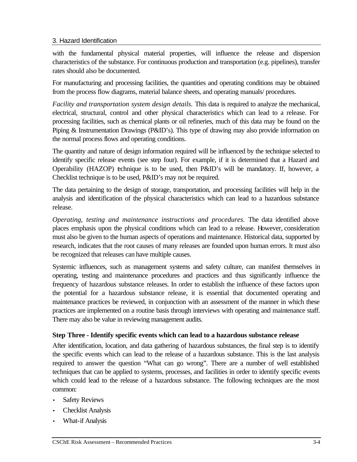with the fundamental physical material properties, will influence the release and dispersion characteristics of the substance. For continuous production and transportation (e.g. pipelines), transfer rates should also be documented.

For manufacturing and processing facilities, the quantities and operating conditions may be obtained from the process flow diagrams, material balance sheets, and operating manuals/ procedures.

*Facility and transportation system design details.* This data is required to analyze the mechanical, electrical, structural, control and other physical characteristics which can lead to a release. For processing facilities, such as chemical plants or oil refineries, much of this data may be found on the Piping & Instrumentation Drawings (P&ID's). This type of drawing may also provide information on the normal process flows and operating conditions.

The quantity and nature of design information required will be influenced by the technique selected to identify specific release events (see step four). For example, if it is determined that a Hazard and Operability (HAZOP) echnique is to be used, then P&ID's will be mandatory. If, however, a Checklist technique is to be used, P&ID's may not be required.

The data pertaining to the design of storage, transportation, and processing facilities will help in the analysis and identification of the physical characteristics which can lead to a hazardous substance release.

*Operating, testing and maintenance instructions and procedures.* The data identified above places emphasis upon the physical conditions which can lead to a release. However, consideration must also be given to the human aspects of operations and maintenance. Historical data, supported by research, indicates that the root causes of many releases are founded upon human errors. It must also be recognized that releases can have multiple causes.

Systemic influences, such as management systems and safety culture, can manifest themselves in operating, testing and maintenance procedures and practices and thus significantly influence the frequency of hazardous substance releases. In order to establish the influence of these factors upon the potential for a hazardous substance release, it is essential that documented operating and maintenance practices be reviewed, in conjunction with an assessment of the manner in which these practices are implemented on a routine basis through interviews with operating and maintenance staff. There may also be value in reviewing management audits.

## **Step Three - Identify specific events which can lead to a hazardous substance release**

After identification, location, and data gathering of hazardous substances, the final step is to identify the specific events which can lead to the release of a hazardous substance. This is the last analysis required to answer the question "What can go wrong". There are a number of well established techniques that can be applied to systems, processes, and facilities in order to identify specific events which could lead to the release of a hazardous substance. The following techniques are the most common:

- **Safety Reviews**
- Checklist Analysis
- What-if Analysis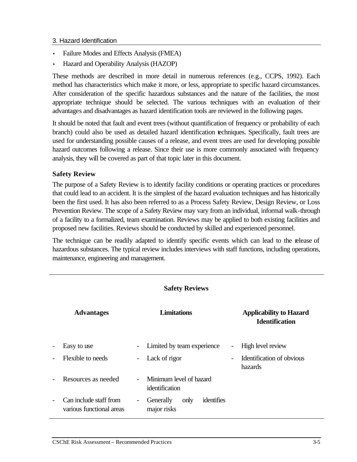- Failure Modes and Effects Analysis (FMEA)
- Hazard and Operability Analysis (HAZOP)

These methods are described in more detail in numerous references (e.g., CCPS, 1992). Each method has characteristics which make it more, or less, appropriate to specific hazard circumstances. After consideration of the specific hazardous substances and the nature of the facilities, the most appropriate technique should be selected. The various techniques with an evaluation of their advantages and disadvantages as hazard identification tools are reviewed in the following pages.

It should be noted that fault and event trees (without quantification of frequency or probability of each branch) could also be used as detailed hazard identification techniques. Specifically, fault trees are used for understanding possible causes of a release, and event trees are used for developing possible hazard outcomes following a release. Since their use is more commonly associated with frequency analysis, they will be covered as part of that topic later in this document.

## **Safety Review**

The purpose of a Safety Review is to identify facility conditions or operating practices or procedures that could lead to an accident. It is the simplest of the hazard evaluation techniques and has historically been the first used. It has also been referred to as a Process Safety Review, Design Review, or Loss Prevention Review. The scope of a Safety Review may vary from an individual, informal walk-through of a facility to a formalized, team examination. Reviews may be applied to both existing facilities and proposed new facilities. Reviews should be conducted by skilled and experienced personnel.

The technique can be readily adapted to identify specific events which can lead to the release of hazardous substances. The typical review includes interviews with staff functions, including operations, maintenance, engineering and management.

| <b>Safety Reviews</b>    |                                                    |                          |                                                |                          |                                                         |
|--------------------------|----------------------------------------------------|--------------------------|------------------------------------------------|--------------------------|---------------------------------------------------------|
|                          | <b>Advantages</b>                                  |                          | <b>Limitations</b>                             |                          | <b>Applicability to Hazard</b><br><b>Identification</b> |
| $\overline{\phantom{a}}$ | Easy to use                                        | -                        | Limited by team experience                     | $\overline{\phantom{a}}$ | High level review                                       |
|                          | Flexible to needs                                  | $\overline{\phantom{a}}$ | Lack of rigor                                  |                          | Identification of obvious<br>hazards                    |
| $\overline{\phantom{a}}$ | Resources as needed                                | $\overline{\phantom{0}}$ | Minimum level of hazard<br>identification      |                          |                                                         |
| $\overline{\phantom{a}}$ | Can include staff from<br>various functional areas | -                        | identifies<br>Generally<br>only<br>major risks |                          |                                                         |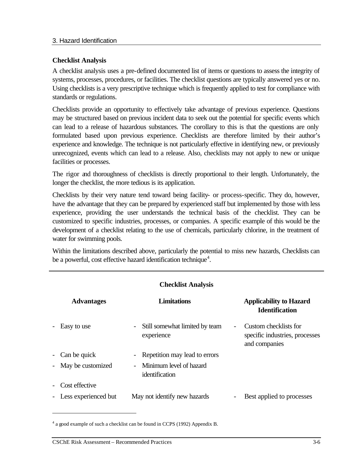#### **Checklist Analysis**

A checklist analysis uses a pre-defined documented list of items or questions to assess the integrity of systems, processes, procedures, or facilities. The checklist questions are typically answered yes or no. Using checklists is a very prescriptive technique which is frequently applied to test for compliance with standards or regulations.

Checklists provide an opportunity to effectively take advantage of previous experience. Questions may be structured based on previous incident data to seek out the potential for specific events which can lead to a release of hazardous substances. The corollary to this is that the questions are only formulated based upon previous experience. Checklists are therefore limited by their author's experience and knowledge. The technique is not particularly effective in identifying new, or previously unrecognized, events which can lead to a release. Also, checklists may not apply to new or unique facilities or processes.

The rigor and thoroughness of checklists is directly proportional to their length. Unfortunately, the longer the checklist, the more tedious is its application.

Checklists by their very nature tend toward being facility- or process-specific. They do, however, have the advantage that they can be prepared by experienced staff but implemented by those with less experience, providing the user understands the technical basis of the checklist. They can be customized to specific industries, processes, or companies. A specific example of this would be the development of a checklist relating to the use of chemicals, particularly chlorine, in the treatment of water for swimming pools.

Within the limitations described above, particularly the potential to miss new hazards, Checklists can be a powerful, cost effective hazard identification technique<sup>4</sup>.

|                          | <b>Checklist Analysis</b> |                                              |                          |                                                                          |  |  |
|--------------------------|---------------------------|----------------------------------------------|--------------------------|--------------------------------------------------------------------------|--|--|
|                          | <b>Advantages</b>         | <b>Limitations</b>                           |                          | <b>Applicability to Hazard</b><br><b>Identification</b>                  |  |  |
|                          | Easy to use               | Still somewhat limited by team<br>experience |                          | Custom checklists for<br>specific industries, processes<br>and companies |  |  |
|                          | - Can be quick            | Repetition may lead to errors                |                          |                                                                          |  |  |
|                          | - May be customized       | - Minimum level of hazard<br>identification  |                          |                                                                          |  |  |
| $\overline{\phantom{0}}$ | Cost effective            |                                              |                          |                                                                          |  |  |
|                          | - Less experienced but    | May not identify new hazards                 | $\overline{\phantom{a}}$ | Best applied to processes                                                |  |  |

<sup>&</sup>lt;sup>4</sup> a good example of such a checklist can be found in CCPS (1992) Appendix B.

 $\overline{a}$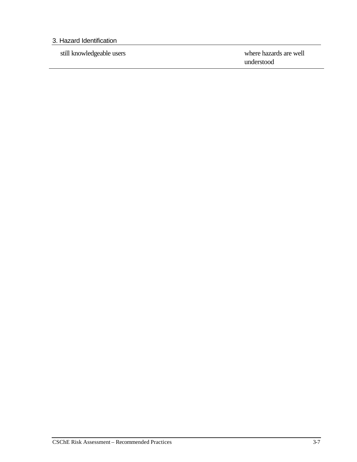still knowledgeable users where hazards are well understood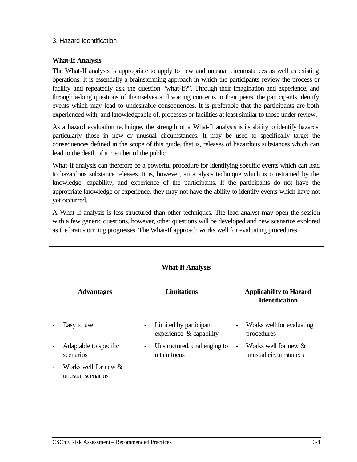## **What-If Analysis**

The What-If analysis is appropriate to apply to new and unusual circumstances as well as existing operations. It is essentially a brainstorming approach in which the participants review the process or facility and repeatedly ask the question "what-if?". Through their imagination and experience, and through asking questions of themselves and voicing concerns to their peers, the participants identify events which may lead to undesirable consequences. It is preferable that the participants are both experienced with, and knowledgeable of, processes or facilities at least similar to those under review.

As a hazard evaluation technique, the strength of a What-If analysis is its ability to identify hazards, particularly those in new or unusual circumstances. It may be used to specifically target the consequences defined in the scope of this guide, that is, releases of hazardous substances which can lead to the death of a member of the public.

What-If analysis can therefore be a powerful procedure for identifying specific events which can lead to hazardous substance releases. It is, however, an analysis technique which is constrained by the knowledge, capability, and experience of the participants. If the participants do not have the appropriate knowledge or experience, they may not have the ability to identify events which have not yet occurred.

A What-If analysis is less structured than other techniques. The lead analyst may open the session with a few generic questions, however, other questions will be developed and new scenarios explored as the brainstorming progresses. The What-If approach works well for evaluating procedures.

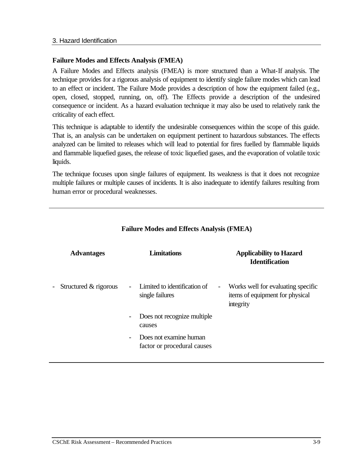#### **Failure Modes and Effects Analysis (FMEA)**

A Failure Modes and Effects analysis (FMEA) is more structured than a What-If analysis. The technique provides for a rigorous analysis of equipment to identify single failure modes which can lead to an effect or incident. The Failure Mode provides a description of how the equipment failed (e.g., open, closed, stopped, running, on, off). The Effects provide a description of the undesired consequence or incident. As a hazard evaluation technique it may also be used to relatively rank the criticality of each effect.

This technique is adaptable to identify the undesirable consequences within the scope of this guide. That is, an analysis can be undertaken on equipment pertinent to hazardous substances. The effects analyzed can be limited to releases which will lead to potential for fires fuelled by flammable liquids and flammable liquefied gases, the release of toxic liquefied gases, and the evaporation of volatile toxic liquids.

The technique focuses upon single failures of equipment. Its weakness is that it does not recognize multiple failures or multiple causes of incidents. It is also inadequate to identify failures resulting from human error or procedural weaknesses.

| <b>Advantages</b>         | <b>Limitations</b>                                                                | <b>Applicability to Hazard</b><br><b>Identification</b>                                                            |
|---------------------------|-----------------------------------------------------------------------------------|--------------------------------------------------------------------------------------------------------------------|
| - Structured $&$ rigorous | Limited to identification of<br>$\overline{\phantom{a}}$<br>single failures       | Works well for evaluating specific<br>$\qquad \qquad \blacksquare$<br>items of equipment for physical<br>integrity |
|                           | Does not recognize multiple<br>$\qquad \qquad \blacksquare$<br>causes             |                                                                                                                    |
|                           | Does not examine human<br>$\overline{\phantom{a}}$<br>factor or procedural causes |                                                                                                                    |

## **Failure Modes and Effects Analysis (FMEA)**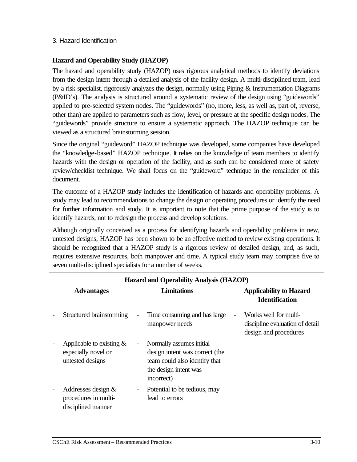## **Hazard and Operability Study (HAZOP)**

The hazard and operability study (HAZOP) uses rigorous analytical methods to identify deviations from the design intent through a detailed analysis of the facility design. A multi-disciplined team, lead by a risk specialist, rigorously analyzes the design, normally using Piping & Instrumentation Diagrams (P&ID's). The analysis is structured around a systematic review of the design using "guidewords" applied to pre-selected system nodes. The "guidewords" (no, more, less, as well as, part of, reverse, other than) are applied to parameters such as flow, level, or pressure at the specific design nodes. The "guidewords" provide structure to ensure a systematic approach. The HAZOP technique can be viewed as a structured brainstorming session.

Since the original "guideword" HAZOP technique was developed, some companies have developed the "knowledge-based" HAZOP technique. It relies on the knowledge of team members to identify hazards with the design or operation of the facility, and as such can be considered more of safety review/checklist technique. We shall focus on the "guideword" technique in the remainder of this document.

The outcome of a HAZOP study includes the identification of hazards and operability problems. A study may lead to recommendations to change the design or operating procedures or identify the need for further information and study. It is important to note that the prime purpose of the study is to identify hazards, not to redesign the process and develop solutions.

Although originally conceived as a process for identifying hazards and operability problems in new, untested designs, HAZOP has been shown to be an effective method to review existing operations. It should be recognized that a HAZOP study is a rigorous review of detailed design, and, as such, requires extensive resources, both manpower and time. A typical study team may comprise five to seven multi-disciplined specialists for a number of weeks.

|                | <b>Hazard and Operability Analysis (HAZOP)</b>                         |                                                                                                                                    |                                                                                   |  |  |
|----------------|------------------------------------------------------------------------|------------------------------------------------------------------------------------------------------------------------------------|-----------------------------------------------------------------------------------|--|--|
|                | <b>Advantages</b>                                                      | Limitations                                                                                                                        | <b>Applicability to Hazard</b><br><b>Identification</b>                           |  |  |
| $\overline{a}$ | Structured brainstorming                                               | Time consuming and has large<br>$\overline{\phantom{a}}$<br>manpower needs                                                         | Works well for multi-<br>discipline evaluation of detail<br>design and procedures |  |  |
|                | Applicable to existing $\&$<br>especially novel or<br>untested designs | Normally assumes initial<br>design intent was correct (the<br>team could also identify that<br>the design intent was<br>incorrect) |                                                                                   |  |  |
|                | Addresses design $\&$<br>procedures in multi-<br>disciplined manner    | Potential to be tedious, may<br>$\overline{\phantom{a}}$<br>lead to errors                                                         |                                                                                   |  |  |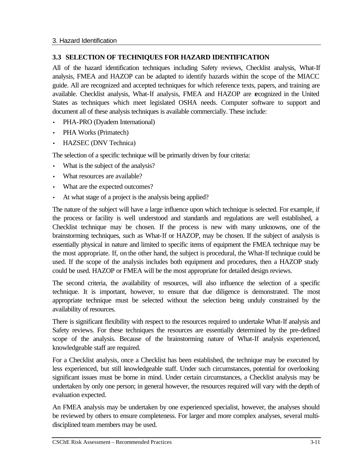## **3.3 SELECTION OF TECHNIQUES FOR HAZARD IDENTIFICATION**

All of the hazard identification techniques including Safety reviews, Checklist analysis, What-If analysis, FMEA and HAZOP can be adapted to identify hazards within the scope of the MIACC guide. All are recognized and accepted techniques for which reference texts, papers, and training are available. Checklist analysis, What-If analysis, FMEA and HAZOP are recognized in the United States as techniques which meet legislated OSHA needs. Computer software to support and document all of these analysis techniques is available commercially. These include:

- PHA-PRO (Dyadem International)
- PHA Works (Primatech)
- HAZSEC (DNV Technica)

The selection of a specific technique will be primarily driven by four criteria:

- What is the subject of the analysis?
- What resources are available?
- What are the expected outcomes?
- At what stage of a project is the analysis being applied?

The nature of the subject will have a large influence upon which technique is selected. For example, if the process or facility is well understood and standards and regulations are well established, a Checklist technique may be chosen. If the process is new with many unknowns, one of the brainstorming techniques, such as What-If or HAZOP, may be chosen. If the subject of analysis is essentially physical in nature and limited to specific items of equipment the FMEA technique may be the most appropriate. If, on the other hand, the subject is procedural, the What-If technique could be used. If the scope of the analysis includes both equipment and procedures, then a HAZOP study could be used. HAZOP or FMEA will be the most appropriate for detailed design reviews.

The second criteria, the availability of resources, will also influence the selection of a specific technique. It is important, however, to ensure that due diligence is demonstrated. The most appropriate technique must be selected without the selection being unduly constrained by the availability of resources.

There is significant flexibility with respect to the resources required to undertake What-If analysis and Safety reviews. For these techniques the resources are essentially determined by the pre-defined scope of the analysis. Because of the brainstorming nature of What-If analysis experienced, knowledgeable staff are required.

For a Checklist analysis, once a Checklist has been established, the technique may be executed by less experienced, but still knowledgeable staff. Under such circumstances, potential for overlooking significant issues must be borne in mind. Under certain circumstances, a Checklist analysis may be undertaken by only one person; in general however, the resources required will vary with the depth of evaluation expected.

An FMEA analysis may be undertaken by one experienced specialist, however, the analyses should be reviewed by others to ensure completeness. For larger and more complex analyses, several multidisciplined team members may be used.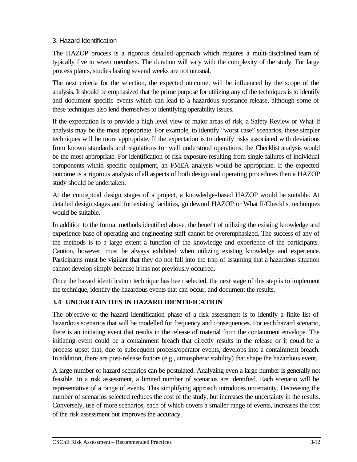The HAZOP process is a rigorous detailed approach which requires a multi-disciplined team of typically five to seven members. The duration will vary with the complexity of the study. For large process plants, studies lasting several weeks are not unusual.

The next criteria for the selection, the expected outcome, will be influenced by the scope of the analysis. It should be emphasized that the prime purpose for utilizing any of the techniques is to identify and document specific events which can lead to a hazardous substance release, although some of these techniques also lend themselves to identifying operability issues.

If the expectation is to provide a high level view of major areas of risk, a Safety Review or What-If analysis may be the most appropriate. For example, to identify "worst case" scenarios, these simpler techniques will be more appropriate. If the expectation is to identify risks associated with deviations from known standards and regulations for well understood operations, the Checklist analysis would be the most appropriate. For identification of risk exposure resulting from single failures of individual components within specific equipment, an FMEA analysis would be appropriate. If the expected outcome is a rigorous analysis of all aspects of both design and operating procedures then a HAZOP study should be undertaken.

At the conceptual design stages of a project, a knowledge-based HAZOP would be suitable. At detailed design stages and for existing facilities, guideword HAZOP or What If/Checklist techniques would be suitable.

In addition to the formal methods identified above, the benefit of utilizing the existing knowledge and experience base of operating and engineering staff cannot be overemphasized. The success of any of the methods is to a large extent a function of the knowledge and experience of the participants. Caution, however, must be always exhibited when utilizing existing knowledge and experience. Participants must be vigilant that they do not fall into the trap of assuming that a hazardous situation cannot develop simply because it has not previously occurred.

Once the hazard identification technique has been selected, the next stage of this step is to implement the technique, identify the hazardous events that can occur, and document the results.

## **3.4 UNCERTAINTIES IN HAZARD IDENTIFICATION**

The objective of the hazard identification phase of a risk assessment is to identify a finite list of hazardous scenarios that will be modelled for frequency and consequences. For each hazard scenario, there is an initiating event that results in the release of material from the containment envelope. The initiating event could be a containment breach that directly results in the release or it could be a process upset that, due to subsequent process/operator events, develops into a containment breach. In addition, there are post-release factors (e.g., atmospheric stability) that shape the hazardous event.

A large number of hazard scenarios can be postulated. Analyzing even a large number is generally not feasible. In a risk assessment, a limited number of scenarios are identified. Each scenario will be representative of a range of events. This simplifying approach introduces uncertainty. Decreasing the number of scenarios selected reduces the cost of the study, but increases the uncertainty in the results. Conversely, use of more scenarios, each of which covers a smaller range of events, increases the cost of the risk assessment but improves the accuracy.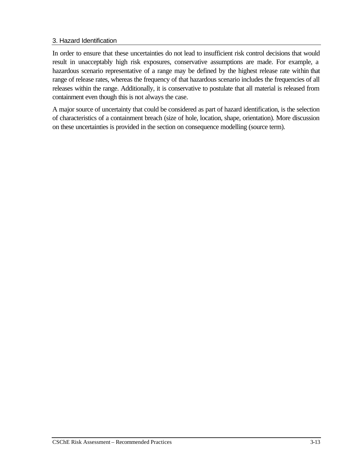In order to ensure that these uncertainties do not lead to insufficient risk control decisions that would result in unacceptably high risk exposures, conservative assumptions are made. For example, a hazardous scenario representative of a range may be defined by the highest release rate within that range of release rates, whereas the frequency of that hazardous scenario includes the frequencies of all releases within the range. Additionally, it is conservative to postulate that all material is released from containment even though this is not always the case.

A major source of uncertainty that could be considered as part of hazard identification, is the selection of characteristics of a containment breach (size of hole, location, shape, orientation). More discussion on these uncertainties is provided in the section on consequence modelling (source term).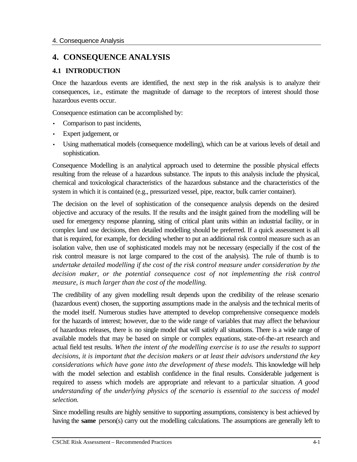## **4. CONSEQUENCE ANALYSIS**

## **4.1 INTRODUCTION**

Once the hazardous events are identified, the next step in the risk analysis is to analyze their consequences, i.e., estimate the magnitude of damage to the receptors of interest should those hazardous events occur.

Consequence estimation can be accomplished by:

- Comparison to past incidents,
- Expert judgement, or
- Using mathematical models (consequence modelling), which can be at various levels of detail and sophistication.

Consequence Modelling is an analytical approach used to determine the possible physical effects resulting from the release of a hazardous substance. The inputs to this analysis include the physical, chemical and toxicological characteristics of the hazardous substance and the characteristics of the system in which it is contained (e.g., pressurized vessel, pipe, reactor, bulk carrier container).

The decision on the level of sophistication of the consequence analysis depends on the desired objective and accuracy of the results. If the results and the insight gained from the modelling will be used for emergency response planning, siting of critical plant units within an industrial facility, or in complex land use decisions, then detailed modelling should be preferred. If a quick assessment is all that is required, for example, for deciding whether to put an additional risk control measure such as an isolation valve, then use of sophisticated models may not be necessary (especially if the cost of the risk control measure is not large compared to the cost of the analysis). The rule of thumb is to *undertake detailed modelling if the cost of the risk control measure under consideration by the decision maker, or the potential consequence cost of not implementing the risk control measure, is much larger than the cost of the modelling.*

The credibility of any given modelling result depends upon the credibility of the release scenario (hazardous event) chosen, the supporting assumptions made in the analysis and the technical merits of the model itself. Numerous studies have attempted to develop comprehensive consequence models for the hazards of interest; however, due to the wide range of variables that may affect the behaviour of hazardous releases, there is no single model that will satisfy all situations. There is a wide range of available models that may be based on simple or complex equations, state-of-the-art research and actual field test results. *When the intent of the modelling exercise is to use the results to support decisions, it is important that the decision makers or at least their advisors understand the key considerations which have gone into the development of these models.* This knowledge will help with the model selection and establish confidence in the final results. Considerable judgement is required to assess which models are appropriate and relevant to a particular situation. *A good understanding of the underlying physics of the scenario is essential to the success of model selection.*

Since modelling results are highly sensitive to supporting assumptions, consistency is best achieved by having the **same** person(s) carry out the modelling calculations. The assumptions are generally left to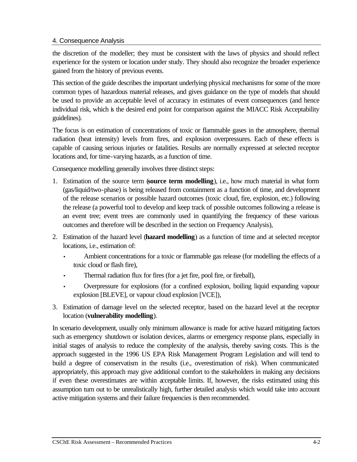## 4. Consequence Analysis

the discretion of the modeller; they must be consistent with the laws of physics and should reflect experience for the system or location under study. They should also recognize the broader experience gained from the history of previous events.

This section of the guide describes the important underlying physical mechanisms for some of the more common types of hazardous material releases, and gives guidance on the type of models that should be used to provide an acceptable level of accuracy in estimates of event consequences (and hence individual risk, which is the desired end point for comparison against the MIACC Risk Acceptability guidelines).

The focus is on estimation of concentrations of toxic or flammable gases in the atmosphere, thermal radiation (heat intensity) levels from fires, and explosion overpressures. Each of these effects is capable of causing serious injuries or fatalities. Results are normally expressed at selected receptor locations and, for time-varying hazards, as a function of time.

Consequence modelling generally involves three distinct steps:

- 1. Estimation of the source term (**source term modelling**), i.e., how much material in what form (gas/liquid/two-phase) is being released from containment as a function of time, and development of the release scenarios or possible hazard outcomes (toxic cloud, fire, explosion, etc.) following the release (a powerful tool to develop and keep track of possible outcomes following a release is an event tree; event trees are commonly used in quantifying the frequency of these various outcomes and therefore will be described in the section on Frequency Analysis),
- 2. Estimation of the hazard level (**hazard modelling**) as a function of time and at selected receptor locations, i.e., estimation of:
	- Ambient concentrations for a toxic or flammable gas release (for modelling the effects of a toxic cloud or flash fire),
	- Thermal radiation flux for fires (for a jet fire, pool fire, or fireball),
	- Overpressure for explosions (for a confined explosion, boiling liquid expanding vapour explosion [BLEVE], or vapour cloud explosion [VCE]),
- 3. Estimation of damage level on the selected receptor, based on the hazard level at the receptor location (**vulnerability modelling**).

In scenario development, usually only minimum allowance is made for active hazard mitigating factors such as emergency shutdown or isolation devices, alarms or emergency response plans, especially in initial stages of analysis to reduce the complexity of the analysis, thereby saving costs. This is the approach suggested in the 1996 US EPA Risk Management Program Legislation and will tend to build a degree of conservatism in the results (i.e., overestimation of risk). When communicated appropriately, this approach may give additional comfort to the stakeholders in making any decisions if even these overestimates are within acceptable limits. If, however, the risks estimated using this assumption turn out to be unrealistically high, further detailed analysis which would take into account active mitigation systems and their failure frequencies is then recommended.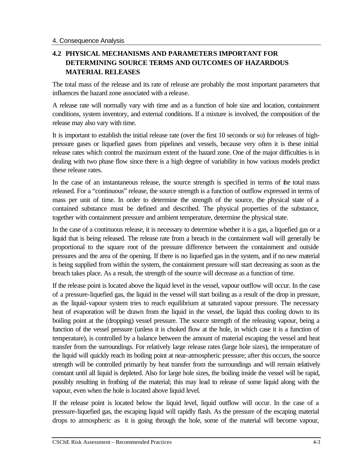## **4.2 PHYSICAL MECHANISMS AND PARAMETERS IMPORTANT FOR DETERMINING SOURCE TERMS AND OUTCOMES OF HAZARDOUS MATERIAL RELEASES**

The total mass of the release and its rate of release are probably the most important parameters that influences the hazard zone associated with a release.

A release rate will normally vary with time and as a function of hole size and location, containment conditions, system inventory, and external conditions. If a mixture is involved, the composition of the release may also vary with time.

It is important to establish the initial release rate (over the first 10 seconds or so) for releases of highpressure gases or liquefied gases from pipelines and vessels, because very often it is these initial release rates which control the maximum extent of the hazard zone. One of the major difficulties is in dealing with two phase flow since there is a high degree of variability in how various models predict these release rates.

In the case of an instantaneous release, the source strength is specified in terms of the total mass released. For a "continuous" release, the source strength is a function of outflow expressed in terms of mass per unit of time. In order to determine the strength of the source, the physical state of a contained substance must be defined and described. The physical properties of the substance, together with containment pressure and ambient temperature, determine the physical state.

In the case of a continuous release, it is necessary to determine whether it is a gas, a liquefied gas or a liquid that is being released. The release rate from a breach in the containment wall will generally be proportional to the square root of the pressure difference between the containment and outside pressures and the area of the opening. If there is no liquefied gas in the system, and if no new material is being supplied from within the system, the containment pressure will start decreasing as soon as the breach takes place. As a result, the strength of the source will decrease as a function of time.

If the release point is located above the liquid level in the vessel, vapour outflow will occur. In the case of a pressure-liquefied gas, the liquid in the vessel will start boiling as a result of the drop in pressure, as the liquid-vapour system tries to reach equilibrium at saturated vapour pressure. The necessary heat of evaporation will be drawn from the liquid in the vessel, the liquid thus cooling down to its boiling point at the (dropping) vessel pressure. The source strength of the releasing vapour, being a function of the vessel pressure (unless it is choked flow at the hole, in which case it is a function of temperature), is controlled by a balance between the amount of material escaping the vessel and heat transfer from the surroundings. For relatively large release rates (large hole sizes), the temperature of the liquid will quickly reach its boiling point at near-atmospheric pressure; after this occurs, the source strength will be controlled primarily by heat transfer from the surroundings and will remain relatively constant until all liquid is depleted. Also for large hole sizes, the boiling inside the vessel will be rapid, possibly resulting in frothing of the material; this may lead to release of some liquid along with the vapour, even when the hole is located above liquid level.

If the release point is located below the liquid level, liquid outflow will occur. In the case of a pressure-liquefied gas, the escaping liquid will rapidly flash. As the pressure of the escaping material drops to atmospheric as it is going through the hole, some of the material will become vapour,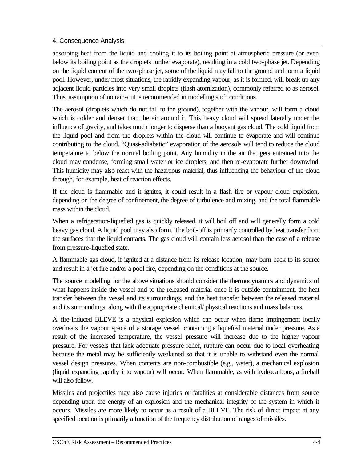## 4. Consequence Analysis

absorbing heat from the liquid and cooling it to its boiling point at atmospheric pressure (or even below its boiling point as the droplets further evaporate), resulting in a cold two-phase jet. Depending on the liquid content of the two-phase jet, some of the liquid may fall to the ground and form a liquid pool. However, under most situations, the rapidly expanding vapour, as it is formed, will break up any adjacent liquid particles into very small droplets (flash atomization), commonly referred to as aerosol. Thus, assumption of no rain-out is recommended in modelling such conditions.

The aerosol (droplets which do not fall to the ground), together with the vapour, will form a cloud which is colder and denser than the air around it. This heavy cloud will spread laterally under the influence of gravity, and takes much longer to disperse than a buoyant gas cloud. The cold liquid from the liquid pool and from the droplets within the cloud will continue to evaporate and will continue contributing to the cloud. "Quasi-adiabatic" evaporation of the aerosols will tend to reduce the cloud temperature to below the normal boiling point. Any humidity in the air that gets entrained into the cloud may condense, forming small water or ice droplets, and then re-evaporate further downwind. This humidity may also react with the hazardous material, thus influencing the behaviour of the cloud through, for example, heat of reaction effects.

If the cloud is flammable and it ignites, it could result in a flash fire or vapour cloud explosion, depending on the degree of confinement, the degree of turbulence and mixing, and the total flammable mass within the cloud.

When a refrigeration-liquefied gas is quickly released, it will boil off and will generally form a cold heavy gas cloud. A liquid pool may also form. The boil-off is primarily controlled by heat transfer from the surfaces that the liquid contacts. The gas cloud will contain less aerosol than the case of a release from pressure-liquefied state.

A flammable gas cloud, if ignited at a distance from its release location, may burn back to its source and result in a jet fire and/or a pool fire, depending on the conditions at the source.

The source modelling for the above situations should consider the thermodynamics and dynamics of what happens inside the vessel and to the released material once it is outside containment, the heat transfer between the vessel and its surroundings, and the heat transfer between the released material and its surroundings, along with the appropriate chemical/ physical reactions and mass balances.

A fire-induced BLEVE is a physical explosion which can occur when flame impingement locally overheats the vapour space of a storage vessel containing a liquefied material under pressure. As a result of the increased temperature, the vessel pressure will increase due to the higher vapour pressure. For vessels that lack adequate pressure relief, rupture can occur due to local overheating because the metal may be sufficiently weakened so that it is unable to withstand even the normal vessel design pressures. When contents are non-combustible (e.g., water), a mechanical explosion (liquid expanding rapidly into vapour) will occur. When flammable, as with hydrocarbons, a fireball will also follow.

Missiles and projectiles may also cause injuries or fatalities at considerable distances from source depending upon the energy of an explosion and the mechanical integrity of the system in which it occurs. Missiles are more likely to occur as a result of a BLEVE. The risk of direct impact at any specified location is primarily a function of the frequency distribution of ranges of missiles.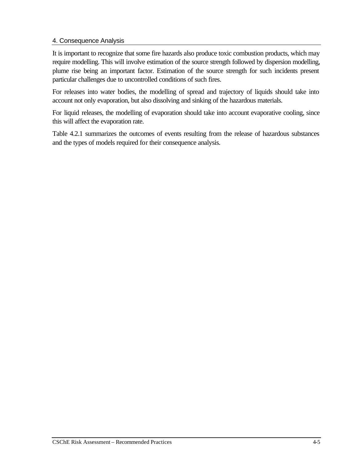## 4. Consequence Analysis

It is important to recognize that some fire hazards also produce toxic combustion products, which may require modelling. This will involve estimation of the source strength followed by dispersion modelling, plume rise being an important factor. Estimation of the source strength for such incidents present particular challenges due to uncontrolled conditions of such fires.

For releases into water bodies, the modelling of spread and trajectory of liquids should take into account not only evaporation, but also dissolving and sinking of the hazardous materials.

For liquid releases, the modelling of evaporation should take into account evaporative cooling, since this will affect the evaporation rate.

Table 4.2.1 summarizes the outcomes of events resulting from the release of hazardous substances and the types of models required for their consequence analysis.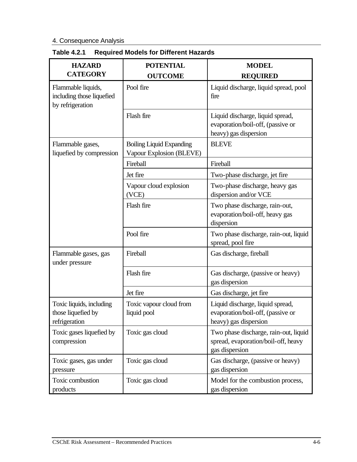| <b>HAZARD</b>                                                       | <b>POTENTIAL</b>                                            | <b>MODEL</b>                                                                                   |
|---------------------------------------------------------------------|-------------------------------------------------------------|------------------------------------------------------------------------------------------------|
| <b>CATEGORY</b>                                                     | <b>OUTCOME</b>                                              |                                                                                                |
|                                                                     |                                                             | <b>REQUIRED</b>                                                                                |
| Flammable liquids,<br>including those liquefied<br>by refrigeration | Pool fire                                                   | Liquid discharge, liquid spread, pool<br>fire                                                  |
|                                                                     | Flash fire                                                  | Liquid discharge, liquid spread,<br>evaporation/boil-off, (passive or<br>heavy) gas dispersion |
| Flammable gases,<br>liquefied by compression                        | <b>Boiling Liquid Expanding</b><br>Vapour Explosion (BLEVE) | <b>BLEVE</b>                                                                                   |
|                                                                     | Fireball                                                    | Fireball                                                                                       |
|                                                                     | Jet fire                                                    | Two-phase discharge, jet fire                                                                  |
|                                                                     | Vapour cloud explosion<br>(VCE)                             | Two-phase discharge, heavy gas<br>dispersion and/or VCE                                        |
|                                                                     | Flash fire                                                  | Two phase discharge, rain-out,<br>evaporation/boil-off, heavy gas<br>dispersion                |
|                                                                     | Pool fire                                                   | Two phase discharge, rain-out, liquid<br>spread, pool fire                                     |
| Flammable gases, gas<br>under pressure                              | Fireball                                                    | Gas discharge, fireball                                                                        |
|                                                                     | Flash fire                                                  | Gas discharge, (passive or heavy)<br>gas dispersion                                            |
|                                                                     | Jet fire                                                    | Gas discharge, jet fire                                                                        |
| Toxic liquids, including<br>those liquefied by<br>refrigeration     | Toxic vapour cloud from<br>liquid pool                      | Liquid discharge, liquid spread,<br>evaporation/boil-off, (passive or<br>heavy) gas dispersion |
| Toxic gases liquefied by<br>compression                             | Toxic gas cloud                                             | Two phase discharge, rain-out, liquid<br>spread, evaporation/boil-off, heavy<br>gas dispersion |
| Toxic gases, gas under<br>pressure                                  | Toxic gas cloud                                             | Gas discharge, (passive or heavy)<br>gas dispersion                                            |
| Toxic combustion<br>products                                        | Toxic gas cloud                                             | Model for the combustion process,<br>gas dispersion                                            |

## **Table 4.2.1 Required Models for Different Hazards**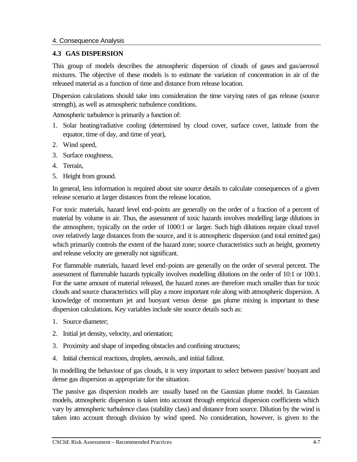### **4.3 GAS DISPERSION**

This group of models describes the atmospheric dispersion of clouds of gases and gas/aerosol mixtures. The objective of these models is to estimate the variation of concentration in air of the released material as a function of time and distance from release location.

Dispersion calculations should take into consideration the time varying rates of gas release (source strength), as well as atmospheric turbulence conditions.

Atmospheric turbulence is primarily a function of:

- 1. Solar heating/radiative cooling (determined by cloud cover, surface cover, latitude from the equator, time of day, and time of year),
- 2. Wind speed,
- 3. Surface roughness,
- 4. Terrain,
- 5. Height from ground.

In general, less information is required about site source details to calculate consequences of a given release scenario at larger distances from the release location.

For toxic materials, hazard level end-points are generally on the order of a fraction of a percent of material by volume in air. Thus, the assessment of toxic hazards involves modelling large dilutions in the atmosphere, typically on the order of 1000:1 or larger. Such high dilutions require cloud travel over relatively large distances from the source, and it is atmospheric dispersion (and total emitted gas) which primarily controls the extent of the hazard zone; source characteristics such as height, geometry and release velocity are generally not significant.

For flammable materials, hazard level end-points are generally on the order of several percent. The assessment of flammable hazards typically involves modelling dilutions on the order of 10:1 or 100:1. For the same amount of material released, the hazard zones are therefore much smaller than for toxic clouds and source characteristics will play a more important role along with atmospheric dispersion. A knowledge of momentum jet and buoyant versus dense gas plume mixing is important to these dispersion calculations. Key variables include site source details such as:

- 1. Source diameter;
- 2. Initial jet density, velocity, and orientation;
- 3. Proximity and shape of impeding obstacles and confining structures;
- 4. Initial chemical reactions, droplets, aerosols, and initial fallout.

In modelling the behaviour of gas clouds, it is very important to select between passive/ buoyant and dense gas dispersion as appropriate for the situation.

The passive gas dispersion models are usually based on the Gaussian plume model. In Gaussian models, atmospheric dispersion is taken into account through empirical dispersion coefficients which vary by atmospheric turbulence class (stability class) and distance from source. Dilution by the wind is taken into account through division by wind speed. No consideration, however, is given to the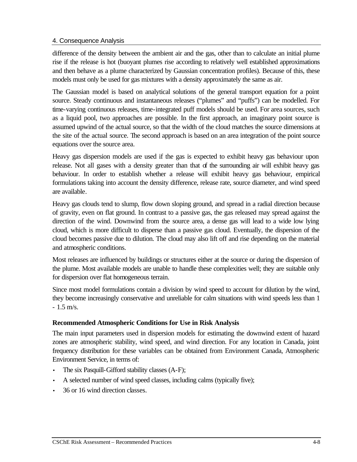difference of the density between the ambient air and the gas, other than to calculate an initial plume rise if the release is hot (buoyant plumes rise according to relatively well established approximations and then behave as a plume characterized by Gaussian concentration profiles). Because of this, these models must only be used for gas mixtures with a density approximately the same as air.

The Gaussian model is based on analytical solutions of the general transport equation for a point source. Steady continuous and instantaneous releases ("plumes" and "puffs") can be modelled. For time-varying continuous releases, time-integrated puff models should be used. For area sources, such as a liquid pool, two approaches are possible. In the first approach, an imaginary point source is assumed upwind of the actual source, so that the width of the cloud matches the source dimensions at the site of the actual source. The second approach is based on an area integration of the point source equations over the source area.

Heavy gas dispersion models are used if the gas is expected to exhibit heavy gas behaviour upon release. Not all gases with a density greater than that of the surrounding air will exhibit heavy gas behaviour. In order to establish whether a release will exhibit heavy gas behaviour, empirical formulations taking into account the density difference, release rate, source diameter, and wind speed are available.

Heavy gas clouds tend to slump, flow down sloping ground, and spread in a radial direction because of gravity, even on flat ground. In contrast to a passive gas, the gas released may spread against the direction of the wind. Downwind from the source area, a dense gas will lead to a wide low lying cloud, which is more difficult to disperse than a passive gas cloud. Eventually, the dispersion of the cloud becomes passive due to dilution. The cloud may also lift off and rise depending on the material and atmospheric conditions.

Most releases are influenced by buildings or structures either at the source or during the dispersion of the plume. Most available models are unable to handle these complexities well; they are suitable only for dispersion over flat homogeneous terrain.

Since most model formulations contain a division by wind speed to account for dilution by the wind, they become increasingly conservative and unreliable for calm situations with wind speeds less than 1 - 1.5 m/s.

### **Recommended Atmospheric Conditions for Use in Risk Analysis**

The main input parameters used in dispersion models for estimating the downwind extent of hazard zones are atmospheric stability, wind speed, and wind direction. For any location in Canada, joint frequency distribution for these variables can be obtained from Environment Canada, Atmospheric Environment Service, in terms of:

- The six Pasquill-Gifford stability classes (A-F);
- A selected number of wind speed classes, including calms (typically five);
- 36 or 16 wind direction classes.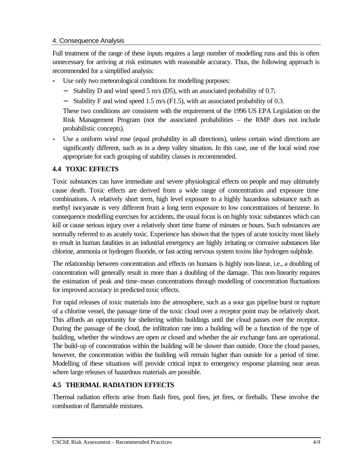Full treatment of the range of these inputs requires a large number of modelling runs and this is often unnecessary for arriving at risk estimates with reasonable accuracy. Thus, the following approach is recommended for a simplified analysis:

- Use only two meteorological conditions for modelling purposes:
	- − Stability D and wind speed 5 m/s (D5), with an associated probability of 0.7;
	- − Stability F and wind speed 1.5 m/s (F1.5), with an associated probability of 0.3.

These two conditions are consistent with the requirement of the 1996 US EPA Legislation on the Risk Management Program (not the associated probabilities – the RMP does not include probabilistic concepts).

• Use a uniform wind rose (equal probability in all directions), unless certain wind directions are significantly different, such as in a deep valley situation. In this case, use of the local wind rose appropriate for each grouping of stability classes is recommended.

# **4.4 TOXIC EFFECTS**

Toxic substances can have immediate and severe physiological effects on people and may ultimately cause death. Toxic effects are derived from a wide range of concentration and exposure time combinations. A relatively short term, high level exposure to a highly hazardous substance such as methyl isocyanate is very different from a long term exposure to low concentrations of benzene. In consequence modelling exercises for accidents, the usual focus is on highly toxic substances which can kill or cause serious injury over a relatively short time frame of minutes or hours. Such substances are normally referred to as acutely toxic. Experience has shown that the types of acute toxicity most likely to result in human fatalities in an industrial emergency are highly irritating or corrosive substances like chlorine, ammonia or hydrogen fluoride, or fast acting nervous system toxins like hydrogen sulphide.

The relationship between concentration and effects on humans is highly non-linear, i.e., a doubling of concentration will generally result in more than a doubling of the damage. This non-linearity requires the estimation of peak and time-mean concentrations through modelling of concentration fluctuations for improved accuracy in predicted toxic effects.

For rapid releases of toxic materials into the atmosphere, such as a sour gas pipeline burst or rupture of a chlorine vessel, the passage time of the toxic cloud over a receptor point may be relatively short. This affords an opportunity for sheltering within buildings until the cloud passes over the receptor. During the passage of the cloud, the infiltration rate into a building will be a function of the type of building, whether the windows are open or closed and whether the air exchange fans are operational. The build-up of concentration within the building will be slower than outside. Once the cloud passes, however, the concentration within the building will remain higher than outside for a period of time. Modelling of these situations will provide critical input to emergency response planning near areas where large releases of hazardous materials are possible.

### **4.5 THERMAL RADIATION EFFECTS**

Thermal radiation effects arise from flash fires, pool fires, jet fires, or fireballs. These involve the combustion of flammable mixtures.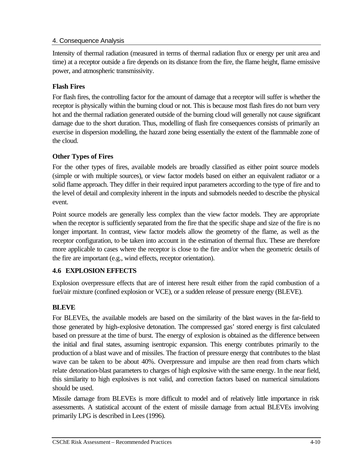Intensity of thermal radiation (measured in terms of thermal radiation flux or energy per unit area and time) at a receptor outside a fire depends on its distance from the fire, the flame height, flame emissive power, and atmospheric transmissivity.

# **Flash Fires**

For flash fires, the controlling factor for the amount of damage that a receptor will suffer is whether the receptor is physically within the burning cloud or not. This is because most flash fires do not burn very hot and the thermal radiation generated outside of the burning cloud will generally not cause significant damage due to the short duration. Thus, modelling of flash fire consequences consists of primarily an exercise in dispersion modelling, the hazard zone being essentially the extent of the flammable zone of the cloud.

# **Other Types of Fires**

For the other types of fires, available models are broadly classified as either point source models (simple or with multiple sources), or view factor models based on either an equivalent radiator or a solid flame approach. They differ in their required input parameters according to the type of fire and to the level of detail and complexity inherent in the inputs and submodels needed to describe the physical event.

Point source models are generally less complex than the view factor models. They are appropriate when the receptor is sufficiently separated from the fire that the specific shape and size of the fire is no longer important. In contrast, view factor models allow the geometry of the flame, as well as the receptor configuration, to be taken into account in the estimation of thermal flux. These are therefore more applicable to cases where the receptor is close to the fire and/or when the geometric details of the fire are important (e.g., wind effects, receptor orientation).

# **4.6 EXPLOSION EFFECTS**

Explosion overpressure effects that are of interest here result either from the rapid combustion of a fuel/air mixture (confined explosion or VCE), or a sudden release of pressure energy (BLEVE).

# **BLEVE**

For BLEVEs, the available models are based on the similarity of the blast waves in the far-field to those generated by high-explosive detonation. The compressed gas' stored energy is first calculated based on pressure at the time of burst. The energy of explosion is obtained as the difference between the initial and final states, assuming isentropic expansion. This energy contributes primarily to the production of a blast wave and of missiles. The fraction of pressure energy that contributes to the blast wave can be taken to be about 40%. Overpressure and impulse are then read from charts which relate detonation-blast parameters to charges of high explosive with the same energy. In the near field, this similarity to high explosives is not valid, and correction factors based on numerical simulations should be used.

Missile damage from BLEVEs is more difficult to model and of relatively little importance in risk assessments. A statistical account of the extent of missile damage from actual BLEVEs involving primarily LPG is described in Lees (1996).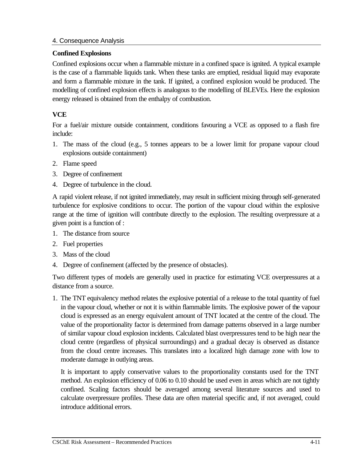### **Confined Explosions**

Confined explosions occur when a flammable mixture in a confined space is ignited. A typical example is the case of a flammable liquids tank. When these tanks are emptied, residual liquid may evaporate and form a flammable mixture in the tank. If ignited, a confined explosion would be produced. The modelling of confined explosion effects is analogous to the modelling of BLEVEs. Here the explosion energy released is obtained from the enthalpy of combustion.

# **VCE**

For a fuel/air mixture outside containment, conditions favouring a VCE as opposed to a flash fire include:

- 1. The mass of the cloud (e.g., 5 tonnes appears to be a lower limit for propane vapour cloud explosions outside containment)
- 2. Flame speed
- 3. Degree of confinement
- 4. Degree of turbulence in the cloud.

A rapid violent release, if not ignited immediately, may result in sufficient mixing through self-generated turbulence for explosive conditions to occur. The portion of the vapour cloud within the explosive range at the time of ignition will contribute directly to the explosion. The resulting overpressure at a given point is a function of :

- 1. The distance from source
- 2. Fuel properties
- 3. Mass of the cloud
- 4. Degree of confinement (affected by the presence of obstacles).

Two different types of models are generally used in practice for estimating VCE overpressures at a distance from a source.

1. The TNT equivalency method relates the explosive potential of a release to the total quantity of fuel in the vapour cloud, whether or not it is within flammable limits. The explosive power of the vapour cloud is expressed as an energy equivalent amount of TNT located at the centre of the cloud. The value of the proportionality factor is determined from damage patterns observed in a large number of similar vapour cloud explosion incidents. Calculated blast overpressures tend to be high near the cloud centre (regardless of physical surroundings) and a gradual decay is observed as distance from the cloud centre increases. This translates into a localized high damage zone with low to moderate damage in outlying areas.

It is important to apply conservative values to the proportionality constants used for the TNT method. An explosion efficiency of 0.06 to 0.10 should be used even in areas which are not tightly confined. Scaling factors should be averaged among several literature sources and used to calculate overpressure profiles. These data are often material specific and, if not averaged, could introduce additional errors.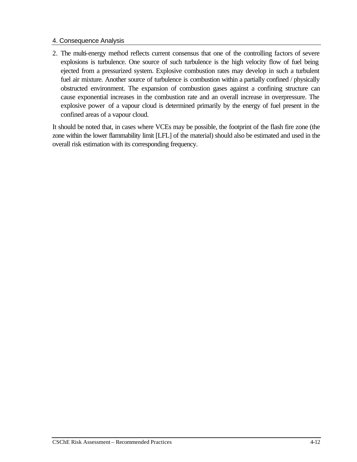2. The multi-energy method reflects current consensus that one of the controlling factors of severe explosions is turbulence. One source of such turbulence is the high velocity flow of fuel being ejected from a pressurized system. Explosive combustion rates may develop in such a turbulent fuel air mixture. Another source of turbulence is combustion within a partially confined / physically obstructed environment. The expansion of combustion gases against a confining structure can cause exponential increases in the combustion rate and an overall increase in overpressure. The explosive power of a vapour cloud is determined primarily by the energy of fuel present in the confined areas of a vapour cloud.

It should be noted that, in cases where VCEs may be possible, the footprint of the flash fire zone (the zone within the lower flammability limit [LFL] of the material) should also be estimated and used in the overall risk estimation with its corresponding frequency.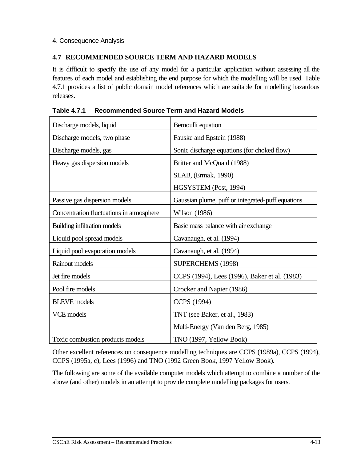## **4.7 RECOMMENDED SOURCE TERM AND HAZARD MODELS**

It is difficult to specify the use of any model for a particular application without assessing all the features of each model and establishing the end purpose for which the modelling will be used. Table 4.7.1 provides a list of public domain model references which are suitable for modelling hazardous releases.

| Discharge models, liquid                 | Bernoulli equation                                |
|------------------------------------------|---------------------------------------------------|
| Discharge models, two phase              | Fauske and Epstein (1988)                         |
| Discharge models, gas                    | Sonic discharge equations (for choked flow)       |
| Heavy gas dispersion models              | Britter and McQuaid (1988)                        |
|                                          | SLAB, (Ermak, 1990)                               |
|                                          | HGSYSTEM (Post, 1994)                             |
| Passive gas dispersion models            | Gaussian plume, puff or integrated-puff equations |
| Concentration fluctuations in atmosphere | <b>Wilson</b> (1986)                              |
| Building infiltration models             | Basic mass balance with air exchange              |
| Liquid pool spread models                | Cavanaugh, et al. (1994)                          |
| Liquid pool evaporation models           | Cavanaugh, et al. (1994)                          |
| Rainout models                           | SUPERCHEMS (1998)                                 |
| Jet fire models                          | CCPS (1994), Lees (1996), Baker et al. (1983)     |
| Pool fire models                         | Crocker and Napier (1986)                         |
| <b>BLEVE</b> models                      | CCPS (1994)                                       |
| <b>VCE</b> models                        | TNT (see Baker, et al., 1983)                     |
|                                          | Multi-Energy (Van den Berg, 1985)                 |
| Toxic combustion products models         | TNO (1997, Yellow Book)                           |

**Table 4.7.1 Recommended Source Term and Hazard Models**

Other excellent references on consequence modelling techniques are CCPS (1989a), CCPS (1994), CCPS (1995a, c), Lees (1996) and TNO (1992 Green Book, 1997 Yellow Book).

The following are some of the available computer models which attempt to combine a number of the above (and other) models in an attempt to provide complete modelling packages for users.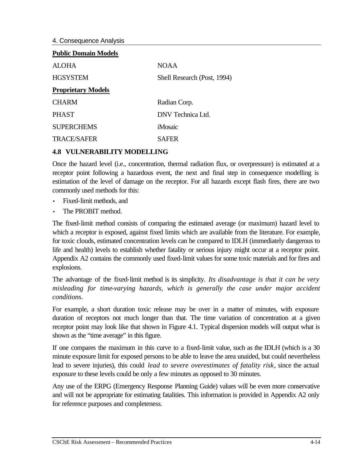| <b>Public Domain Models</b> |                             |  |  |
|-----------------------------|-----------------------------|--|--|
| ALOHA                       | <b>NOAA</b>                 |  |  |
| <b>HGSYSTEM</b>             | Shell Research (Post, 1994) |  |  |
| <b>Proprietary Models</b>   |                             |  |  |
| <b>CHARM</b>                | Radian Corp.                |  |  |
| <b>PHAST</b>                | DNV Technica Ltd.           |  |  |
| <b>SUPERCHEMS</b>           | iMosaic                     |  |  |
| <b>TRACE/SAFER</b>          | <b>SAFER</b>                |  |  |

### **4.8 VULNERABILITY MODELLING**

Once the hazard level (i.e., concentration, thermal radiation flux, or overpressure) is estimated at a receptor point following a hazardous event, the next and final step in consequence modelling is estimation of the level of damage on the receptor. For all hazards except flash fires, there are two commonly used methods for this:

- Fixed-limit methods, and
- The PROBIT method.

The fixed-limit method consists of comparing the estimated average (or maximum) hazard level to which a receptor is exposed, against fixed limits which are available from the literature. For example, for toxic clouds, estimated concentration levels can be compared to IDLH (immediately dangerous to life and health) levels to establish whether fatality or serious injury might occur at a receptor point. Appendix A2 contains the commonly used fixed-limit values for some toxic materials and for fires and explosions.

The advantage of the fixed-limit method is its simplicity. *Its disadvantage is that it can be very misleading for time-varying hazards, which is generally the case under major accident conditions*.

For example, a short duration toxic release may be over in a matter of minutes, with exposure duration of receptors not much longer than that. The time variation of concentration at a given receptor point may look like that shown in Figure 4.1. Typical dispersion models will output what is shown as the "time average" in this figure.

If one compares the maximum in this curve to a fixed-limit value, such as the IDLH (which is a 30 minute exposure limit for exposed persons to be able to leave the area unaided, but could nevertheless lead to severe injuries), this could *lead to severe overestimates of fatality risk*, since the actual exposure to these levels could be only a few minutes as opposed to 30 minutes.

Any use of the ERPG (Emergency Response Planning Guide) values will be even more conservative and will not be appropriate for estimating fatalities. This information is provided in Appendix A2 only for reference purposes and completeness.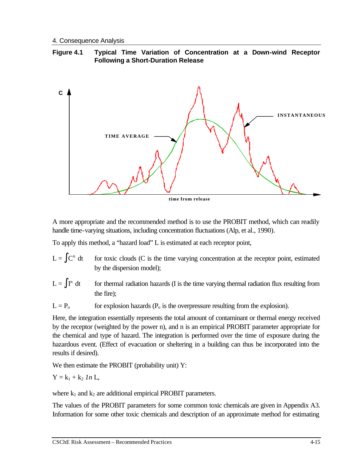### **Figure 4.1 Typical Time Variation of Concentration at a Down-wind Receptor Following a Short-Duration Release**



A more appropriate and the recommended method is to use the PROBIT method, which can readily handle time-varying situations, including concentration fluctuations (Alp, et al., 1990).

To apply this method, a "hazard load" L is estimated at each receptor point,

- $L = \int C^n dt$  for toxic clouds (C is the time varying concentration at the receptor point, estimated by the dispersion model);
- $L = \int I^n dt$  for thermal radiation hazards (I is the time varying thermal radiation flux resulting from the fire);
- $L = P_0$  for explosion hazards ( $P_0$  is the overpressure resulting from the explosion).

Here, the integration essentially represents the total amount of contaminant or thermal energy received by the receptor (weighted by the power n), and n is an empirical PROBIT parameter appropriate for the chemical and type of hazard. The integration is performed over the time of exposure during the hazardous event. (Effect of evacuation or sheltering in a building can thus be incorporated into the results if desired).

We then estimate the PROBIT (probability unit) Y:

$$
Y = k_1 + k_2 \; In \; L,
$$

where  $k_1$  and  $k_2$  are additional empirical PROBIT parameters.

The values of the PROBIT parameters for some common toxic chemicals are given in Appendix A3. Information for some other toxic chemicals and description of an approximate method for estimating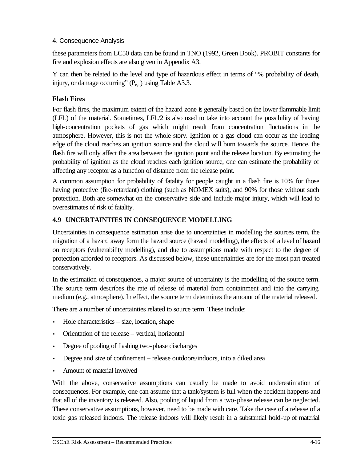these parameters from LC50 data can be found in TNO (1992, Green Book). PROBIT constants for fire and explosion effects are also given in Appendix A3.

Y can then be related to the level and type of hazardous effect in terms of "% probability of death, injury, or damage occurring"  $(P_{e,h})$  using Table A3.3.

# **Flash Fires**

For flash fires, the maximum extent of the hazard zone is generally based on the lower flammable limit (LFL) of the material. Sometimes, LFL/2 is also used to take into account the possibility of having high-concentration pockets of gas which might result from concentration fluctuations in the atmosphere. However, this is not the whole story. Ignition of a gas cloud can occur as the leading edge of the cloud reaches an ignition source and the cloud will burn towards the source. Hence, the flash fire will only affect the area between the ignition point and the release location. By estimating the probability of ignition as the cloud reaches each ignition source, one can estimate the probability of affecting any receptor as a function of distance from the release point.

A common assumption for probability of fatality for people caught in a flash fire is 10% for those having protective (fire-retardant) clothing (such as NOMEX suits), and 90% for those without such protection. Both are somewhat on the conservative side and include major injury, which will lead to overestimates of risk of fatality.

# **4.9 UNCERTAINTIES IN CONSEQUENCE MODELLING**

Uncertainties in consequence estimation arise due to uncertainties in modelling the sources term, the migration of a hazard away form the hazard source (hazard modelling), the effects of a level of hazard on receptors (vulnerability modelling), and due to assumptions made with respect to the degree of protection afforded to receptors. As discussed below, these uncertainties are for the most part treated conservatively.

In the estimation of consequences, a major source of uncertainty is the modelling of the source term. The source term describes the rate of release of material from containment and into the carrying medium (e.g., atmosphere). In effect, the source term determines the amount of the material released.

There are a number of uncertainties related to source term. These include:

- $Hole characteristics size, location, shape$
- Orientation of the release vertical, horizontal
- Degree of pooling of flashing two-phase discharges
- Degree and size of confinement release outdoors/indoors, into a diked area
- Amount of material involved

With the above, conservative assumptions can usually be made to avoid underestimation of consequences. For example, one can assume that a tank/system is full when the accident happens and that all of the inventory is released. Also, pooling of liquid from a two-phase release can be neglected. These conservative assumptions, however, need to be made with care. Take the case of a release of a toxic gas released indoors. The release indoors will likely result in a substantial hold-up of material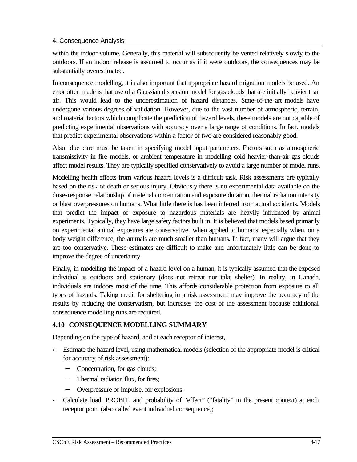within the indoor volume. Generally, this material will subsequently be vented relatively slowly to the outdoors. If an indoor release is assumed to occur as if it were outdoors, the consequences may be substantially overestimated.

In consequence modelling, it is also important that appropriate hazard migration models be used. An error often made is that use of a Gaussian dispersion model for gas clouds that are initially heavier than air. This would lead to the underestimation of hazard distances. State-of-the-art models have undergone various degrees of validation. However, due to the vast number of atmospheric, terrain, and material factors which complicate the prediction of hazard levels, these models are not capable of predicting experimental observations with accuracy over a large range of conditions. In fact, models that predict experimental observations within a factor of two are considered reasonably good.

Also, due care must be taken in specifying model input parameters. Factors such as atmospheric transmissivity in fire models, or ambient temperature in modelling cold heavier-than-air gas clouds affect model results. They are typically specified conservatively to avoid a large number of model runs.

Modelling health effects from various hazard levels is a difficult task. Risk assessments are typically based on the risk of death or serious injury. Obviously there is no experimental data available on the dose-response relationship of material concentration and exposure duration, thermal radiation intensity or blast overpressures on humans. What little there is has been inferred from actual accidents. Models that predict the impact of exposure to hazardous materials are heavily influenced by animal experiments. Typically, they have large safety factors built in. It is believed that models based primarily on experimental animal exposures are conservative when applied to humans, especially when, on a body weight difference, the animals are much smaller than humans. In fact, many will argue that they are too conservative. These estimates are difficult to make and unfortunately little can be done to improve the degree of uncertainty.

Finally, in modelling the impact of a hazard level on a human, it is typically assumed that the exposed individual is outdoors and stationary (does not retreat nor take shelter). In reality, in Canada, individuals are indoors most of the time. This affords considerable protection from exposure to all types of hazards. Taking credit for sheltering in a risk assessment may improve the accuracy of the results by reducing the conservatism, but increases the cost of the assessment because additional consequence modelling runs are required.

### **4.10 CONSEQUENCE MODELLING SUMMARY**

Depending on the type of hazard, and at each receptor of interest,

- Estimate the hazard level, using mathematical models (selection of the appropriate model is critical for accuracy of risk assessment):
	- − Concentration, for gas clouds;
	- Thermal radiation flux, for fires:
	- − Overpressure or impulse, for explosions.
- Calculate load, PROBIT, and probability of "effect" ("fatality" in the present context) at each receptor point (also called event individual consequence);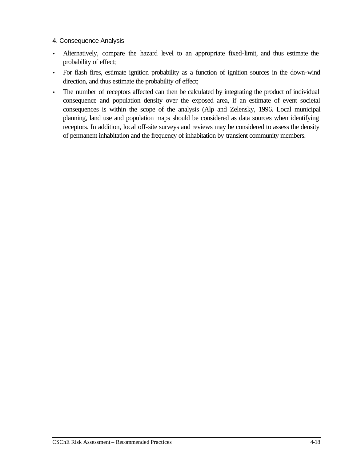- Alternatively, compare the hazard level to an appropriate fixed-limit, and thus estimate the probability of effect;
- For flash fires, estimate ignition probability as a function of ignition sources in the down-wind direction, and thus estimate the probability of effect;
- The number of receptors affected can then be calculated by integrating the product of individual consequence and population density over the exposed area, if an estimate of event societal consequences is within the scope of the analysis (Alp and Zelensky, 1996. Local municipal planning, land use and population maps should be considered as data sources when identifying receptors. In addition, local off-site surveys and reviews may be considered to assess the density of permanent inhabitation and the frequency of inhabitation by transient community members.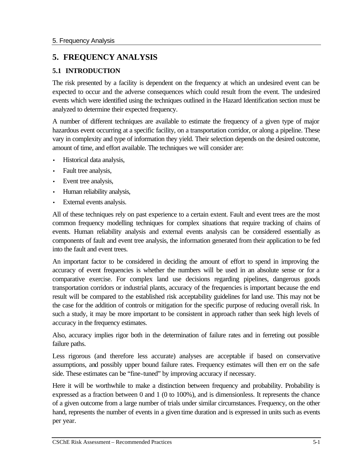# **5. FREQUENCY ANALYSIS**

# **5.1 INTRODUCTION**

The risk presented by a facility is dependent on the frequency at which an undesired event can be expected to occur and the adverse consequences which could result from the event. The undesired events which were identified using the techniques outlined in the Hazard Identification section must be analyzed to determine their expected frequency.

A number of different techniques are available to estimate the frequency of a given type of major hazardous event occurring at a specific facility, on a transportation corridor, or along a pipeline. These vary in complexity and type of information they yield. Their selection depends on the desired outcome, amount of time, and effort available. The techniques we will consider are:

- Historical data analysis,
- Fault tree analysis,
- Event tree analysis,
- Human reliability analysis,
- External events analysis.

All of these techniques rely on past experience to a certain extent. Fault and event trees are the most common frequency modelling techniques for complex situations that require tracking of chains of events. Human reliability analysis and external events analysis can be considered essentially as components of fault and event tree analysis, the information generated from their application to be fed into the fault and event trees.

An important factor to be considered in deciding the amount of effort to spend in improving the accuracy of event frequencies is whether the numbers will be used in an absolute sense or for a comparative exercise. For complex land use decisions regarding pipelines, dangerous goods transportation corridors or industrial plants, accuracy of the frequencies is important because the end result will be compared to the established risk acceptability guidelines for land use. This may not be the case for the addition of controls or mitigation for the specific purpose of reducing overall risk. In such a study, it may be more important to be consistent in approach rather than seek high levels of accuracy in the frequency estimates.

Also, accuracy implies rigor both in the determination of failure rates and in ferreting out possible failure paths.

Less rigorous (and therefore less accurate) analyses are acceptable if based on conservative assumptions, and possibly upper bound failure rates. Frequency estimates will then err on the safe side. These estimates can be "fine-tuned" by improving accuracy if necessary.

Here it will be worthwhile to make a distinction between frequency and probability. Probability is expressed as a fraction between 0 and 1 (0 to 100%), and is dimensionless. It represents the chance of a given outcome from a large number of trials under similar circumstances. Frequency, on the other hand, represents the number of events in a given time duration and is expressed in units such as events per year.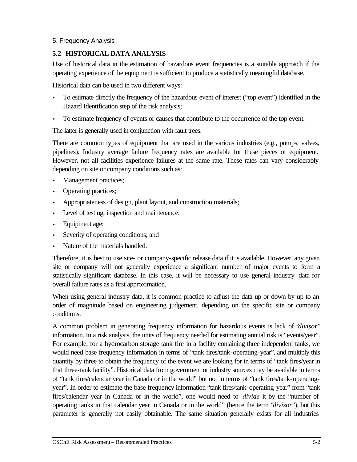## **5.2 HISTORICAL DATA ANALYSIS**

Use of historical data in the estimation of hazardous event frequencies is a suitable approach if the operating experience of the equipment is sufficient to produce a statistically meaningful database.

Historical data can be used in two different ways:

- To estimate directly the frequency of the hazardous event of interest ("top event") identified in the Hazard Identification step of the risk analysis;
- To estimate frequency of events or causes that contribute to the occurrence of the top event.

The latter is generally used in conjunction with fault trees.

There are common types of equipment that are used in the various industries (e.g., pumps, valves, pipelines). Industry average failure frequency rates are available for these pieces of equipment. However, not all facilities experience failures at the same rate. These rates can vary considerably depending on site or company conditions such as:

- Management practices;
- Operating practices;
- Appropriateness of design, plant layout, and construction materials;
- Level of testing, inspection and maintenance;
- Equipment age;
- Severity of operating conditions; and
- Nature of the materials handled.

Therefore, it is best to use site- or company-specific release data if it is available. However, any given site or company will not generally experience a significant number of major events to form a statistically significant database. In this case, it will be necessary to use general industry data for overall failure rates as a first approximation.

When using general industry data, it is common practice to adjust the data up or down by up to an order of magnitude based on engineering judgement, depending on the specific site or company conditions.

A common problem in generating frequency information for hazardous events is lack of "*divisor*" information. In a risk analysis, the units of frequency needed for estimating annual risk is "events/year". For example, for a hydrocarbon storage tank fire in a facility containing three independent tanks, we would need base frequency information in terms of "tank fires/tank-operating-year", and multiply this quantity by three to obtain the frequency of the event we are looking for in terms of "tank fires/year in that three-tank facility". Historical data from government or industry sources may be available in terms of "tank fires/calendar year in Canada or in the world" but not in terms of "tank fires/tank-operatingyear". In order to estimate the base frequency information "tank fires/tank-operating-year" from "tank fires/calendar year in Canada or in the world", one would need to *divide* it by the "number of operating tanks in that calendar year in Canada or in the world" (hence the term "*divisor*"), but this parameter is generally not easily obtainable. The same situation generally exists for all industries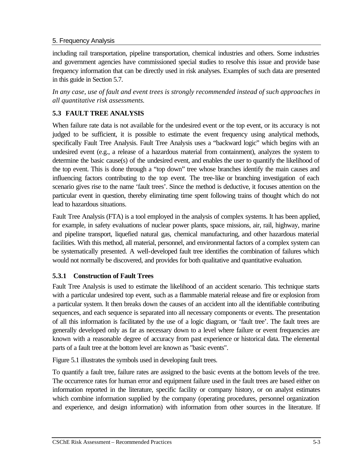including rail transportation, pipeline transportation, chemical industries and others. Some industries and government agencies have commissioned special studies to resolve this issue and provide base frequency information that can be directly used in risk analyses. Examples of such data are presented in this guide in Section 5.7.

*In any case, use of fault and event trees is strongly recommended instead of such approaches in all quantitative risk assessments.*

# **5.3 FAULT TREE ANALYSIS**

When failure rate data is not available for the undesired event or the top event, or its accuracy is not judged to be sufficient, it is possible to estimate the event frequency using analytical methods, specifically Fault Tree Analysis. Fault Tree Analysis uses a "backward logic" which begins with an undesired event (e.g., a release of a hazardous material from containment), analyzes the system to determine the basic cause(s) of the undesired event, and enables the user to quantify the likelihood of the top event. This is done through a "top down" tree whose branches identify the main causes and influencing factors contributing to the top event. The tree-like or branching investigation of each scenario gives rise to the name 'fault trees'. Since the method is deductive, it focuses attention on the particular event in question, thereby eliminating time spent following trains of thought which do not lead to hazardous situations.

Fault Tree Analysis (FTA) is a tool employed in the analysis of complex systems. It has been applied, for example, in safety evaluations of nuclear power plants, space missions, air, rail, highway, marine and pipeline transport, liquefied natural gas, chemical manufacturing, and other hazardous material facilities. With this method, all material, personnel, and environmental factors of a complex system can be systematically presented. A well-developed fault tree identifies the combination of failures which would not normally be discovered, and provides for both qualitative and quantitative evaluation.

# **5.3.1 Construction of Fault Trees**

Fault Tree Analysis is used to estimate the likelihood of an accident scenario. This technique starts with a particular undesired top event, such as a flammable material release and fire or explosion from a particular system. It then breaks down the causes of an accident into all the identifiable contributing sequences, and each sequence is separated into all necessary components or events. The presentation of all this information is facilitated by the use of a logic diagram, or 'fault tree'. The fault trees are generally developed only as far as necessary down to a level where failure or event frequencies are known with a reasonable degree of accuracy from past experience or historical data. The elemental parts of a fault tree at the bottom level are known as "basic events".

Figure 5.1 illustrates the symbols used in developing fault trees.

To quantify a fault tree, failure rates are assigned to the basic events at the bottom levels of the tree. The occurrence rates for human error and equipment failure used in the fault trees are based either on information reported in the literature, specific facility or company history, or on analyst estimates which combine information supplied by the company (operating procedures, personnel organization and experience, and design information) with information from other sources in the literature. If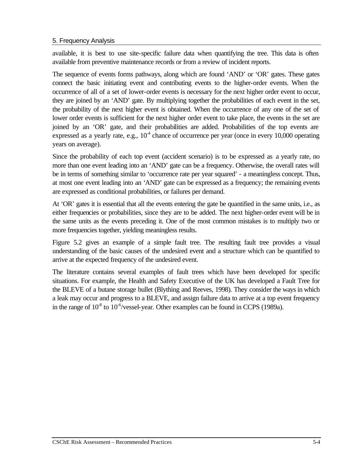available, it is best to use site-specific failure data when quantifying the tree. This data is often available from preventive maintenance records or from a review of incident reports.

The sequence of events forms pathways, along which are found 'AND' or 'OR' gates. These gates connect the basic initiating event and contributing events to the higher-order events. When the occurrence of all of a set of lower-order events is necessary for the next higher order event to occur, they are joined by an 'AND' gate. By multiplying together the probabilities of each event in the set, the probability of the next higher event is obtained. When the occurrence of any one of the set of lower order events is sufficient for the next higher order event to take place, the events in the set are joined by an 'OR' gate, and their probabilities are added. Probabilities of the top events are expressed as a yearly rate, e.g.,  $10<sup>4</sup>$  chance of occurrence per year (once in every 10,000 operating years on average).

Since the probability of each top event (accident scenario) is to be expressed as a yearly rate, no more than one event leading into an 'AND' gate can be a frequency. Otherwise, the overall rates will be in terms of something similar to 'occurrence rate per year squared' - a meaningless concept. Thus, at most one event leading into an 'AND' gate can be expressed as a frequency; the remaining events are expressed as conditional probabilities, or failures per demand.

At 'OR' gates it is essential that all the events entering the gate be quantified in the same units, i.e., as either frequencies or probabilities, since they are to be added. The next higher-order event will be in the same units as the events preceding it. One of the most common mistakes is to multiply two or more frequencies together, yielding meaningless results.

Figure 5.2 gives an example of a simple fault tree. The resulting fault tree provides a visual understanding of the basic causes of the undesired event and a structure which can be quantified to arrive at the expected frequency of the undesired event.

The literature contains several examples of fault trees which have been developed for specific situations. For example, the Health and Safety Executive of the UK has developed a Fault Tree for the BLEVE of a butane storage bullet (Blything and Reeves, 1998). They consider the ways in which a leak may occur and progress to a BLEVE, and assign failure data to arrive at a top event frequency in the range of  $10^{-8}$  to  $10^{-6}/v$  essel-year. Other examples can be found in CCPS (1989a).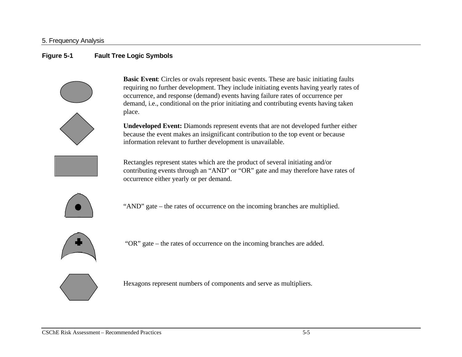## **Figure 5-1 Fault Tree Logic Symbols**



**Basic Event**: Circles or ovals represent basic events. These are basic initiating faults requiring no further development. They include initiating events having yearly rates of occurrence, and response (demand) events having failure rates of occurrence per demand, i.e., conditional on the prior initiating and contributing events having taken place.

**Undeveloped Event:** Diamonds represent events that are not developed further either because the event makes an insignificant contribution to the top event or because information relevant to further development is unavailable.



Rectangles represent states which are the product of several initiating and/or contributing events through an "AND" or "OR" gate and may therefore have rates of occurrence either yearly or per demand.



"AND" gate – the rates of occurrence on the incoming branches are multiplied.



"OR" gate – the rates of occurrence on the incoming branches are added.



Hexagons represent numbers of components and serve as multipliers.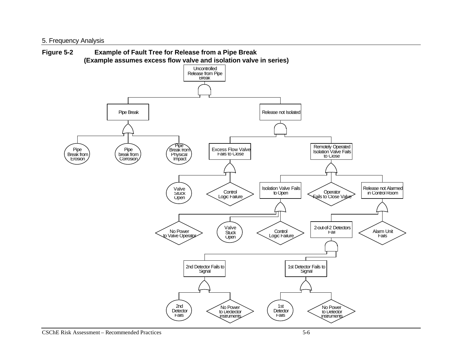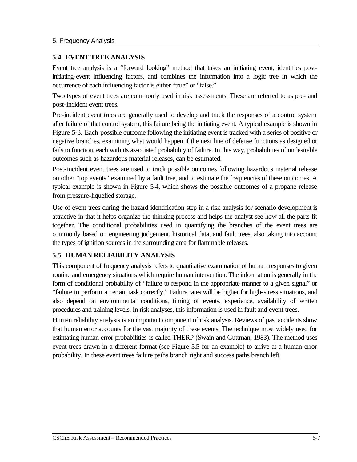## **5.4 EVENT TREE ANALYSIS**

Event tree analysis is a "forward looking" method that takes an initiating event, identifies postinitiating-event influencing factors, and combines the information into a logic tree in which the occurrence of each influencing factor is either "true" or "false."

Two types of event trees are commonly used in risk assessments. These are referred to as pre- and post-incident event trees.

Pre-incident event trees are generally used to develop and track the responses of a control system after failure of that control system, this failure being the initiating event. A typical example is shown in Figure 5-3. Each possible outcome following the initiating event is tracked with a series of positive or negative branches, examining what would happen if the next line of defense functions as designed or fails to function, each with its associated probability of failure. In this way, probabilities of undesirable outcomes such as hazardous material releases, can be estimated.

Post-incident event trees are used to track possible outcomes following hazardous material release on other "top events" examined by a fault tree, and to estimate the frequencies of these outcomes. A typical example is shown in Figure 5-4, which shows the possible outcomes of a propane release from pressure-liquefied storage.

Use of event trees during the hazard identification step in a risk analysis for scenario development is attractive in that it helps organize the thinking process and helps the analyst see how all the parts fit together. The conditional probabilities used in quantifying the branches of the event trees are commonly based on engineering judgement, historical data, and fault trees, also taking into account the types of ignition sources in the surrounding area for flammable releases.

# **5.5 HUMAN RELIABILITY ANALYSIS**

This component of frequency analysis refers to quantitative examination of human responses to given routine and emergency situations which require human intervention. The information is generally in the form of conditional probability of "failure to respond in the appropriate manner to a given signal" or "failure to perform a certain task correctly." Failure rates will be higher for high-stress situations, and also depend on environmental conditions, timing of events, experience, availability of written procedures and training levels. In risk analyses, this information is used in fault and event trees.

Human reliability analysis is an important component of risk analysis. Reviews of past accidents show that human error accounts for the vast majority of these events. The technique most widely used for estimating human error probabilities is called THERP (Swain and Guttman, 1983). The method uses event trees drawn in a different format (see Figure 5.5 for an example) to arrive at a human error probability. In these event trees failure paths branch right and success paths branch left.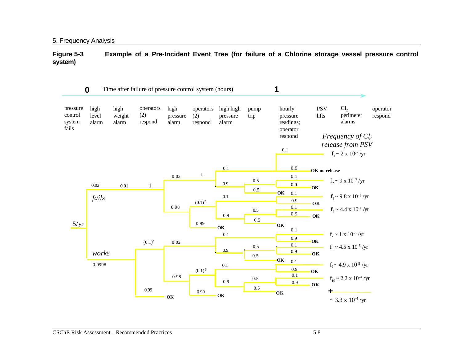**Figure 5-3 Example of a Pre-Incident Event Tree (for failure of a Chlorine storage vessel pressure control system)**

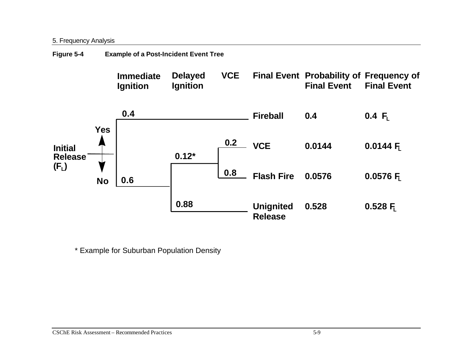| Figure 5-4 | <b>Example of a Post-Incident Event Tree</b> |  |
|------------|----------------------------------------------|--|
|            |                                              |  |



\* Example for Suburban Population Density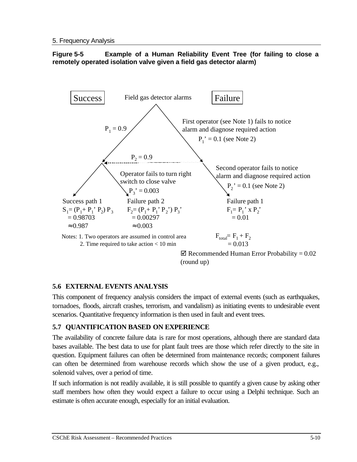### **Figure 5-5 Example of a Human Reliability Event Tree (for failing to close a remotely operated isolation valve given a field gas detector alarm)**



 $\boxtimes$  Recommended Human Error Probability = 0.02 (round up)

# **5.6 EXTERNAL EVENTS ANALYSIS**

This component of frequency analysis considers the impact of external events (such as earthquakes, tornadoes, floods, aircraft crashes, terrorism, and vandalism) as initiating events to undesirable event scenarios. Quantitative frequency information is then used in fault and event trees.

# **5.7 QUANTIFICATION BASED ON EXPERIENCE**

The availability of concrete failure data is rare for most operations, although there are standard data bases available. The best data to use for plant fault trees are those which refer directly to the site in question. Equipment failures can often be determined from maintenance records; component failures can often be determined from warehouse records which show the use of a given product, e.g., solenoid valves, over a period of time.

If such information is not readily available, it is still possible to quantify a given cause by asking other staff members how often they would expect a failure to occur using a Delphi technique. Such an estimate is often accurate enough, especially for an initial evaluation.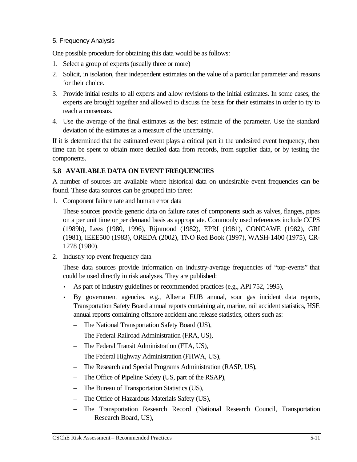One possible procedure for obtaining this data would be as follows:

- 1. Select a group of experts (usually three or more)
- 2. Solicit, in isolation, their independent estimates on the value of a particular parameter and reasons for their choice.
- 3. Provide initial results to all experts and allow revisions to the initial estimates. In some cases, the experts are brought together and allowed to discuss the basis for their estimates in order to try to reach a consensus.
- 4. Use the average of the final estimates as the best estimate of the parameter. Use the standard deviation of the estimates as a measure of the uncertainty.

If it is determined that the estimated event plays a critical part in the undesired event frequency, then time can be spent to obtain more detailed data from records, from supplier data, or by testing the components.

# **5.8 AVAILABLE DATA ON EVENT FREQUENCIES**

A number of sources are available where historical data on undesirable event frequencies can be found. These data sources can be grouped into three:

1. Component failure rate and human error data

These sources provide generic data on failure rates of components such as valves, flanges, pipes on a per unit time or per demand basis as appropriate. Commonly used references include CCPS (1989b), Lees (1980, 1996), Rijnmond (1982), EPRI (1981), CONCAWE (1982), GRI (1981), IEEE500 (1983), OREDA (2002), TNO Red Book (1997), WASH-1400 (1975), CR-1278 (1980).

2. Industry top event frequency data

These data sources provide information on industry-average frequencies of "top-events" that could be used directly in risk analyses. They are published:

- As part of industry guidelines or recommended practices (e.g., API 752, 1995),
- By government agencies, e.g., Alberta EUB annual, sour gas incident data reports, Transportation Safety Board annual reports containing air, marine, rail accident statistics, HSE annual reports containing offshore accident and release statistics, others such as:
	- The National Transportation Safety Board (US),
	- The Federal Railroad Administration (FRA, US),
	- The Federal Transit Administration (FTA, US),
	- The Federal Highway Administration (FHWA, US),
	- The Research and Special Programs Administration (RASP, US),
	- The Office of Pipeline Safety (US, part of the RSAP),
	- The Bureau of Transportation Statistics (US),
	- The Office of Hazardous Materials Safety (US),
	- The Transportation Research Record (National Research Council, Transportation Research Board, US),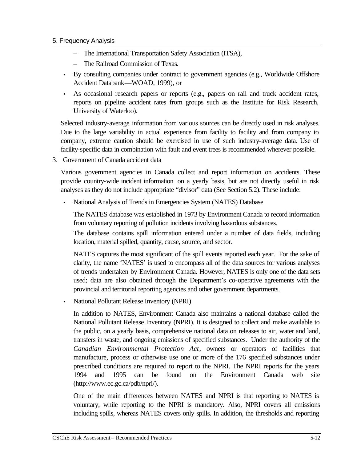- The International Transportation Safety Association (ITSA),
- The Railroad Commission of Texas.
- By consulting companies under contract to government agencies (e.g., Worldwide Offshore Accident Databank—WOAD, 1999), or
- As occasional research papers or reports (e.g., papers on rail and truck accident rates, reports on pipeline accident rates from groups such as the Institute for Risk Research, University of Waterloo).

Selected industry-average information from various sources can be directly used in risk analyses. Due to the large variability in actual experience from facility to facility and from company to company, extreme caution should be exercised in use of such industry-average data. Use of facility-specific data in combination with fault and event trees is recommended wherever possible.

3. Government of Canada accident data

Various government agencies in Canada collect and report information on accidents. These provide country-wide incident information on a yearly basis, but are not directly useful in risk analyses as they do not include appropriate "divisor" data (See Section 5.2). These include:

• National Analysis of Trends in Emergencies System (NATES) Database

The NATES database was established in 1973 by Environment Canada to record information from voluntary reporting of pollution incidents involving hazardous substances.

The database contains spill information entered under a number of data fields, including location, material spilled, quantity, cause, source, and sector.

NATES captures the most significant of the spill events reported each year. For the sake of clarity, the name 'NATES' is used to encompass all of the data sources for various analyses of trends undertaken by Environment Canada. However, NATES is only one of the data sets used; data are also obtained through the Department's co-operative agreements with the provincial and territorial reporting agencies and other government departments.

• National Pollutant Release Inventory (NPRI)

In addition to NATES, Environment Canada also maintains a national database called the National Pollutant Release Inventory (NPRI). It is designed to collect and make available to the public, on a yearly basis, comprehensive national data on releases to air, water and land, transfers in waste, and ongoing emissions of specified substances. Under the authority of the *Canadian Environmental Protection Act*, owners or operators of facilities that manufacture, process or otherwise use one or more of the 176 specified substances under prescribed conditions are required to report to the NPRI. The NPRI reports for the years 1994 and 1995 can be found on the Environment Canada web site (http://www.ec.gc.ca/pdb/npri/).

One of the main differences between NATES and NPRI is that reporting to NATES is voluntary, while reporting to the NPRI is mandatory. Also, NPRI covers all emissions including spills, whereas NATES covers only spills. In addition, the thresholds and reporting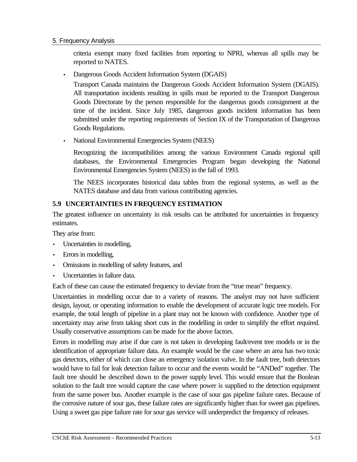criteria exempt many fixed facilities from reporting to NPRI, whereas all spills may be reported to NATES.

• Dangerous Goods Accident Information System (DGAIS)

Transport Canada maintains the Dangerous Goods Accident Information System (DGAIS). All transportation incidents resulting in spills must be reported to the Transport Dangerous Goods Directorate by the person responsible for the dangerous goods consignment at the time of the incident. Since July 1985, dangerous goods incident information has been submitted under the reporting requirements of Section IX of the Transportation of Dangerous Goods Regulations.

• National Environmental Emergencies System (NEES)

Recognizing the incompatibilities among the various Environment Canada regional spill databases, the Environmental Emergencies Program began developing the National Environmental Emergencies System (NEES) in the fall of 1993.

The NEES incorporates historical data tables from the regional systems, as well as the NATES database and data from various contributing agencies.

# **5.9 UNCERTAINTIES IN FREQUENCY ESTIMATION**

The greatest influence on uncertainty in risk results can be attributed for uncertainties in frequency estimates.

They arise from:

- Uncertainties in modelling,
- Errors in modelling,
- Omissions in modelling of safety features, and
- Uncertainties in failure data.

Each of these can cause the estimated frequency to deviate from the "true mean" frequency.

Uncertainties in modelling occur due to a variety of reasons. The analyst may not have sufficient design, layout, or operating information to enable the development of accurate logic tree models. For example, the total length of pipeline in a plant may not be known with confidence. Another type of uncertainty may arise from taking short cuts in the modelling in order to simplify the effort required. Usually conservative assumptions can be made for the above factors.

Errors in modelling may arise if due care is not taken in developing fault/event tree models or in the identification of appropriate failure data. An example would be the case where an area has two toxic gas detectors, either of which can close an emergency isolation valve. In the fault tree, both detectors would have to fail for leak detection failure to occur and the events would be "ANDed" together. The fault tree should be described down to the power supply level. This would ensure that the Boolean solution to the fault tree would capture the case where power is supplied to the detection equipment from the same power bus. Another example is the case of sour gas pipeline failure rates. Because of the corrosive nature of sour gas, these failure rates are significantly higher than for sweet gas pipelines. Using a sweet gas pipe failure rate for sour gas service will underpredict the frequency of releases.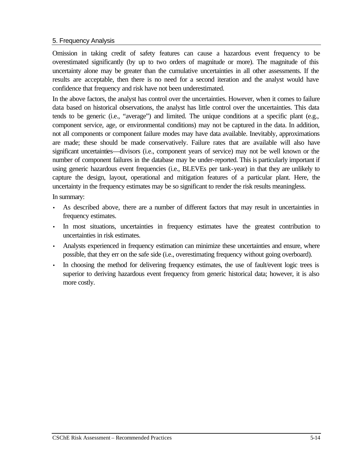Omission in taking credit of safety features can cause a hazardous event frequency to be overestimated significantly (by up to two orders of magnitude or more). The magnitude of this uncertainty alone may be greater than the cumulative uncertainties in all other assessments. If the results are acceptable, then there is no need for a second iteration and the analyst would have confidence that frequency and risk have not been underestimated.

In the above factors, the analyst has control over the uncertainties. However, when it comes to failure data based on historical observations, the analyst has little control over the uncertainties. This data tends to be generic (i.e., "average") and limited. The unique conditions at a specific plant (e.g., component service, age, or environmental conditions) may not be captured in the data. In addition, not all components or component failure modes may have data available. Inevitably, approximations are made; these should be made conservatively. Failure rates that are available will also have significant uncertainties—divisors (i.e., component years of service) may not be well known or the number of component failures in the database may be under-reported. This is particularly important if using generic hazardous event frequencies (i.e., BLEVEs per tank-year) in that they are unlikely to capture the design, layout, operational and mitigation features of a particular plant. Here, the uncertainty in the frequency estimates may be so significant to render the risk results meaningless.

In summary:

- As described above, there are a number of different factors that may result in uncertainties in frequency estimates.
- In most situations, uncertainties in frequency estimates have the greatest contribution to uncertainties in risk estimates.
- Analysts experienced in frequency estimation can minimize these uncertainties and ensure, where possible, that they err on the safe side (i.e., overestimating frequency without going overboard).
- In choosing the method for delivering frequency estimates, the use of fault/event logic trees is superior to deriving hazardous event frequency from generic historical data; however, it is also more costly.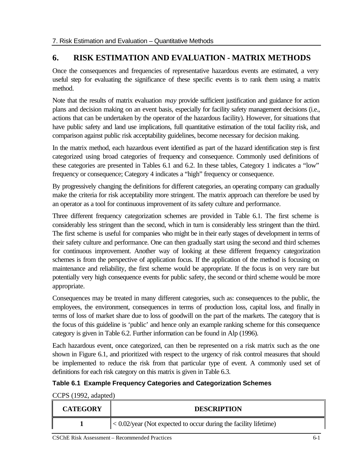# **6. RISK ESTIMATION AND EVALUATION - MATRIX METHODS**

Once the consequences and frequencies of representative hazardous events are estimated, a very useful step for evaluating the significance of these specific events is to rank them using a matrix method.

Note that the results of matrix evaluation *may* provide sufficient justification and guidance for action plans and decision making on an event basis, especially for facility safety management decisions (i.e., actions that can be undertaken by the operator of the hazardous facility). However, for situations that have public safety and land use implications, full quantitative estimation of the total facility risk, and comparison against public risk acceptability guidelines, become necessary for decision making.

In the matrix method, each hazardous event identified as part of the hazard identification step is first categorized using broad categories of frequency and consequence. Commonly used definitions of these categories are presented in Tables 6.1 and 6.2. In these tables, Category 1 indicates a "low" frequency or consequence; Category 4 indicates a "high" frequency or consequence.

By progressively changing the definitions for different categories, an operating company can gradually make the criteria for risk acceptability more stringent. The matrix approach can therefore be used by an operator as a tool for continuous improvement of its safety culture and performance.

Three different frequency categorization schemes are provided in Table 6.1. The first scheme is considerably less stringent than the second, which in turn is considerably less stringent than the third. The first scheme is useful for companies who might be in their early stages of development in terms of their safety culture and performance. One can then gradually start using the second and third schemes for continuous improvement. Another way of looking at these different frequency categorization schemes is from the perspective of application focus. If the application of the method is focusing on maintenance and reliability, the first scheme would be appropriate. If the focus is on very rare but potentially very high consequence events for public safety, the second or third scheme would be more appropriate.

Consequences may be treated in many different categories, such as: consequences to the public, the employees, the environment, consequences in terms of production loss, capital loss, and finally in terms of loss of market share due to loss of goodwill on the part of the markets. The category that is the focus of this guideline is 'public' and hence only an example ranking scheme for this consequence category is given in Table 6.2. Further information can be found in Alp (1996).

Each hazardous event, once categorized, can then be represented on a risk matrix such as the one shown in Figure 6.1, and prioritized with respect to the urgency of risk control measures that should be implemented to reduce the risk from that particular type of event. A commonly used set of definitions for each risk category on this matrix is given in Table 6.3.

# **Table 6.1 Example Frequency Categories and Categorization Schemes**

CCPS (1992, adapted)

| <b>CATEGORY</b> | <b>DESCRIPTION</b>                                                    |  |
|-----------------|-----------------------------------------------------------------------|--|
|                 | $1 < 0.02$ /year (Not expected to occur during the facility lifetime) |  |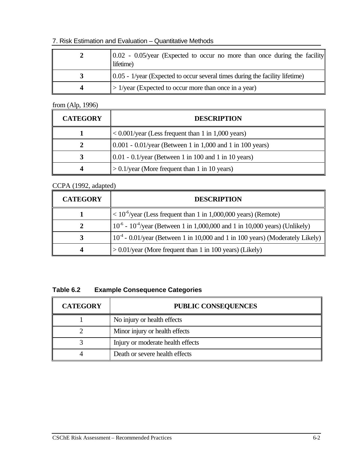### 7. Risk Estimation and Evaluation – Quantitative Methods

| $0.02$ - 0.05/year (Expected to occur no more than once during the facility<br>lifetime) |  |
|------------------------------------------------------------------------------------------|--|
| $(0.05 - 1$ /year (Expected to occur several times during the facility lifetime)         |  |
| $\geq$ 1/year (Expected to occur more than once in a year)                               |  |

from (Alp, 1996)

| <b>CATEGORY</b> | <b>DESCRIPTION</b>                                                |  |
|-----------------|-------------------------------------------------------------------|--|
|                 | $\langle 0.001/\text{year}$ (Less frequent than 1 in 1,000 years) |  |
|                 | $0.001 - 0.01$ /year (Between 1 in 1,000 and 1 in 100 years)      |  |
|                 | $0.01 - 0.1$ /year (Between 1 in 100 and 1 in 10 years)           |  |
|                 | $> 0.1$ /year (More frequent than 1 in 10 years)                  |  |

## CCPA (1992, adapted)

| <b>CATEGORY</b> | <b>DESCRIPTION</b>                                                                    |  |
|-----------------|---------------------------------------------------------------------------------------|--|
|                 | $10^{-6}$ /year (Less frequent than 1 in 1,000,000 years) (Remote)                    |  |
|                 | $10^{-6}$ - $10^{-4}$ /year (Between 1 in 1,000,000 and 1 in 10,000 years) (Unlikely) |  |
| 3               | $104$ - 0.01/year (Between 1 in 10,000 and 1 in 100 years) (Moderately Likely)        |  |
|                 | $> 0.01$ /year (More frequent than 1 in 100 years) (Likely)                           |  |

## **Table 6.2 Example Consequence Categories**

| <b>CATEGORY</b> | <b>PUBLIC CONSEQUENCES</b>        |  |
|-----------------|-----------------------------------|--|
|                 | No injury or health effects       |  |
|                 | Minor injury or health effects    |  |
|                 | Injury or moderate health effects |  |
|                 | Death or severe health effects    |  |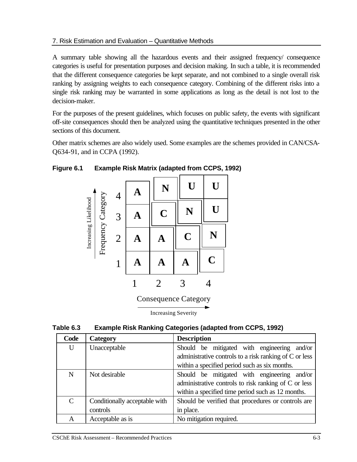#### 7. Risk Estimation and Evaluation – Quantitative Methods

A summary table showing all the hazardous events and their assigned frequency/ consequence categories is useful for presentation purposes and decision making. In such a table, it is recommended that the different consequence categories be kept separate, and not combined to a single overall risk ranking by assigning weights to each consequence category. Combining of the different risks into a single risk ranking may be warranted in some applications as long as the detail is not lost to the decision-maker.

For the purposes of the present guidelines, which focuses on public safety, the events with significant off-site consequences should then be analyzed using the quantitative techniques presented in the other sections of this document.

Other matrix schemes are also widely used. Some examples are the schemes provided in CAN/CSA-Q634-91, and in CCPA (1992).



### **Figure 6.1 Example Risk Matrix (adapted from CCPS, 1992)**

Increasing Severity

| Table 6.3 | <b>Example Risk Ranking Categories (adapted from CCPS, 1992)</b> |  |  |  |
|-----------|------------------------------------------------------------------|--|--|--|
|-----------|------------------------------------------------------------------|--|--|--|

| Code          | <b>Category</b>               | <b>Description</b>                                     |
|---------------|-------------------------------|--------------------------------------------------------|
| U             | Unacceptable                  | Should be mitigated with engineering and/or            |
|               |                               | administrative controls to a risk ranking of C or less |
|               |                               | within a specified period such as six months.          |
| N             | Not desirable                 | Should be mitigated with engineering and/or            |
|               |                               | administrative controls to risk ranking of C or less   |
|               |                               | within a specified time period such as 12 months.      |
| $\mathcal{C}$ | Conditionally acceptable with | Should be verified that procedures or controls are     |
|               | controls                      | in place.                                              |
| A             | Acceptable as is              | No mitigation required.                                |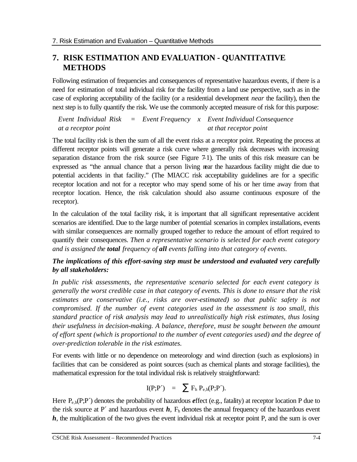# **7. RISK ESTIMATION AND EVALUATION - QUANTITATIVE METHODS**

Following estimation of frequencies and consequences of representative hazardous events, if there is a need for estimation of total individual risk for the facility from a land use perspective, such as in the case of exploring acceptability of the facility (or a residential development *near* the facility), then the next step is to fully quantify the risk. We use the commonly accepted measure of risk for this purpose:

*Event Individual Risk at a receptor point = Event Frequency x Event Individual Consequence at that receptor point*

The total facility risk is then the sum of all the event risks at a receptor point. Repeating the process at different receptor points will generate a risk curve where generally risk decreases with increasing separation distance from the risk source (see Figure 7-1). The units of this risk measure can be expressed as "the annual chance that a person living near the hazardous facility might die due to potential accidents in that facility." (The MIACC risk acceptability guidelines are for a specific receptor location and not for a receptor who may spend some of his or her time away from that receptor location. Hence, the risk calculation should also assume continuous exposure of the receptor).

In the calculation of the total facility risk, it is important that all significant representative accident scenarios are identified. Due to the large number of potential scenarios in complex installations, events with similar consequences are normally grouped together to reduce the amount of effort required to quantify their consequences. *Then a representative scenario is selected for each event category and is assigned the total frequency of all events falling into that category of events.*

# *The implications of this effort-saving step must be understood and evaluated very carefully by all stakeholders:*

*In public risk assessments, the representative scenario selected for each event category is generally the worst credible case in that category of events. This is done to ensure that the risk estimates are conservative (i.e., risks are over-estimated) so that public safety is not compromised. If the number of event categories used in the assessment is too small, this standard practice of risk analysis may lead to unrealistically high risk estimates, thus losing their usefulness in decision-making. A balance, therefore, must be sought between the amount of effort spent (which is proportional to the number of event categories used) and the degree of over-prediction tolerable in the risk estimates.*

For events with little or no dependence on meteorology and wind direction (such as explosions) in facilities that can be considered as point sources (such as chemical plants and storage facilities), the mathematical expression for the total individual risk is relatively straightforward:

$$
I(P;P') = \sum F_h P_{e,h}(P;P').
$$

Here P<sub>e,h</sub>(P;P<sup>'</sup>) denotes the probability of hazardous *e*ffect (e.g., fatality) at receptor location P due to the risk source at P<sup> $\prime$ </sup> and hazardous event  $h$ ,  $F_h$  denotes the annual frequency of the hazardous event *h*, the multiplication of the two gives the event individual risk at receptor point P, and the sum is over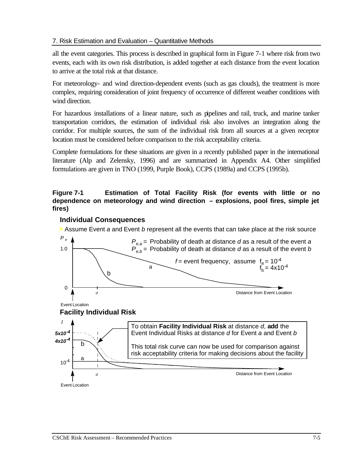### 7. Risk Estimation and Evaluation – Quantitative Methods

all the event categories. This process is described in graphical form in Figure 7-1 where risk from two events, each with its own risk distribution, is added together at each distance from the event location to arrive at the total risk at that distance.

For meteorology- and wind direction-dependent events (such as gas clouds), the treatment is more complex, requiring consideration of joint frequency of occurrence of different weather conditions with wind direction.

For hazardous installations of a linear nature, such as pipelines and rail, truck, and marine tanker transportation corridors, the estimation of individual risk also involves an integration along the corridor. For multiple sources, the sum of the individual risk from all sources at a given receptor location must be considered before comparison to the risk acceptability criteria.

Complete formulations for these situations are given in a recently published paper in the international literature (Alp and Zelensky, 1996) and are summarized in Appendix A4. Other simplified formulations are given in TNO (1999, Purple Book), CCPS (1989a) and CCPS (1995b).

# **Figure 7-1 Estimation of Total Facility Risk (for events with little or no dependence on meteorology and wind direction – explosions, pool fires, simple jet fires)**

#### **Individual Consequences**

‰ Assume Event *a* and Event *b* represent all the events that can take place at the risk source

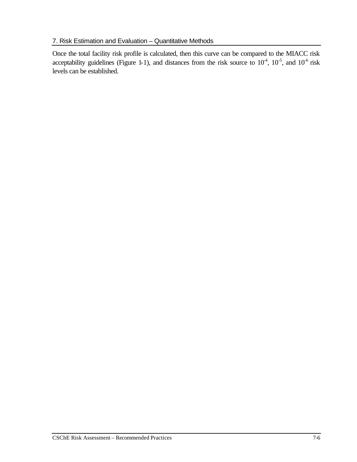### 7. Risk Estimation and Evaluation – Quantitative Methods

Once the total facility risk profile is calculated, then this curve can be compared to the MIACC risk acceptability guidelines (Figure 1-1), and distances from the risk source to  $10^{-4}$ ,  $10^{-5}$ , and  $10^{-6}$  risk levels can be established.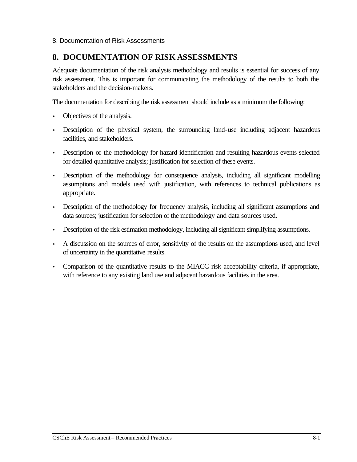# **8. DOCUMENTATION OF RISK ASSESSMENTS**

Adequate documentation of the risk analysis methodology and results is essential for success of any risk assessment. This is important for communicating the methodology of the results to both the stakeholders and the decision-makers.

The documentation for describing the risk assessment should include as a minimum the following:

- Objectives of the analysis.
- Description of the physical system, the surrounding land-use including adjacent hazardous facilities, and stakeholders.
- Description of the methodology for hazard identification and resulting hazardous events selected for detailed quantitative analysis; justification for selection of these events.
- Description of the methodology for consequence analysis, including all significant modelling assumptions and models used with justification, with references to technical publications as appropriate.
- Description of the methodology for frequency analysis, including all significant assumptions and data sources; justification for selection of the methodology and data sources used.
- Description of the risk estimation methodology, including all significant simplifying assumptions.
- A discussion on the sources of error, sensitivity of the results on the assumptions used, and level of uncertainty in the quantitative results.
- Comparison of the quantitative results to the MIACC risk acceptability criteria, if appropriate, with reference to any existing land use and adjacent hazardous facilities in the area.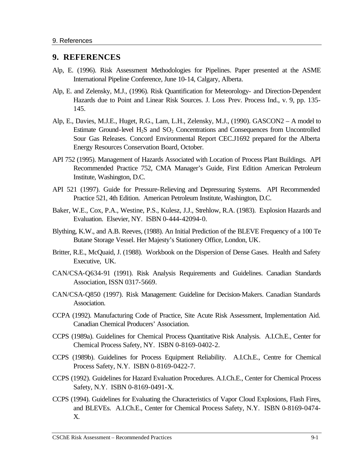#### **9. REFERENCES**

- Alp, E. (1996). Risk Assessment Methodologies for Pipelines. Paper presented at the ASME International Pipeline Conference, June 10-14, Calgary, Alberta.
- Alp, E. and Zelensky, M.J., (1996). Risk Quantification for Meteorology- and Direction-Dependent Hazards due to Point and Linear Risk Sources. J. Loss Prev. Process Ind., v. 9, pp. 135- 145.
- Alp, E., Davies, M.J.E., Huget, R.G., Lam, L.H., Zelensky, M.J., (1990). GASCON2 A model to Estimate Ground-level  $H_2S$  and  $SO_2$  Concentrations and Consequences from Uncontrolled Sour Gas Releases. Concord Environmental Report CEC.J1692 prepared for the Alberta Energy Resources Conservation Board, October.
- API 752 (1995). Management of Hazards Associated with Location of Process Plant Buildings. API Recommended Practice 752, CMA Manager's Guide, First Edition American Petroleum Institute, Washington, D.C.
- API 521 (1997). Guide for Pressure-Relieving and Depressuring Systems. API Recommended Practice 521, 4th Edition. American Petroleum Institute, Washington, D.C.
- Baker, W.E., Cox, P.A., Westine, P.S., Kulesz, J.J., Strehlow, R.A. (1983). Explosion Hazards and Evaluation. Elsevier, NY. ISBN 0-444-42094-0.
- Blything, K.W., and A.B. Reeves, (1988). An Initial Prediction of the BLEVE Frequency of a 100 Te Butane Storage Vessel. Her Majesty's Stationery Office, London, UK.
- Britter, R.E., McQuaid, J. (1988). Workbook on the Dispersion of Dense Gases. Health and Safety Executive, UK.
- CAN/CSA-Q634-91 (1991). Risk Analysis Requirements and Guidelines. Canadian Standards Association, ISSN 0317-5669.
- CAN/CSA-Q850 (1997). Risk Management: Guideline for Decision-Makers. Canadian Standards Association.
- CCPA (1992). Manufacturing Code of Practice, Site Acute Risk Assessment, Implementation Aid. Canadian Chemical Producers' Association.
- CCPS (1989a). Guidelines for Chemical Process Quantitative Risk Analysis. A.I.Ch.E., Center for Chemical Process Safety, NY. ISBN 0-8169-0402-2.
- CCPS (1989b). Guidelines for Process Equipment Reliability. A.I.Ch.E., Centre for Chemical Process Safety, N.Y. ISBN 0-8169-0422-7.
- CCPS (1992). Guidelines for Hazard Evaluation Procedures. A.I.Ch.E., Center for Chemical Process Safety, N.Y. ISBN 0-8169-0491-X.
- CCPS (1994). Guidelines for Evaluating the Characteristics of Vapor Cloud Explosions, Flash Fires, and BLEVEs. A.I.Ch.E., Center for Chemical Process Safety, N.Y. ISBN 0-8169-0474- X.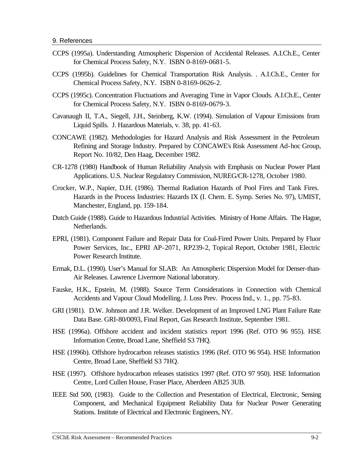- CCPS (1995a). Understanding Atmospheric Dispersion of Accidental Releases. A.I.Ch.E., Center for Chemical Process Safety, N.Y. ISBN 0-8169-0681-5.
- CCPS (1995b). Guidelines for Chemical Transportation Risk Analysis. . A.I.Ch.E., Center for Chemical Process Safety, N.Y. ISBN 0-8169-0626-2.
- CCPS (1995c). Concentration Fluctuations and Averaging Time in Vapor Clouds. A.I.Ch.E., Center for Chemical Process Safety, N.Y. ISBN 0-8169-0679-3.
- Cavanaugh II, T.A., Siegell, J.H., Steinberg, K.W. (1994). Simulation of Vapour Emissions from Liquid Spills. J. Hazardous Materials, v. 38, pp. 41-63.
- CONCAWE (1982). Methodologies for Hazard Analysis and Risk Assessment in the Petroleum Refining and Storage Industry. Prepared by CONCAWE's Risk Assessment Ad-hoc Group, Report No. 10/82, Den Haag, December 1982.
- CR-1278 (1980) Handbook of Human Reliability Analysis with Emphasis on Nuclear Power Plant Applications. U.S. Nuclear Regulatory Commission, NUREG/CR-1278, October 1980.
- Crocker, W.P., Napier, D.H. (1986). Thermal Radiation Hazards of Pool Fires and Tank Fires. Hazards in the Process Industries: Hazards IX (I. Chem. E. Symp. Series No. 97), UMIST, Manchester, England, pp. 159-184.
- Dutch Guide (1988). Guide to Hazardous Industrial Activities. Ministry of Home Affairs. The Hague, Netherlands.
- EPRI, (1981). Component Failure and Repair Data for Coal-Fired Power Units. Prepared by Fluor Power Services, Inc., EPRI AP-2071, RP239-2, Topical Report, October 1981, Electric Power Research Institute.
- Ermak, D.L. (1990). User's Manual for SLAB: An Atmospheric Dispersion Model for Denser-than-Air Releases. Lawrence Livermore National laboratory.
- Fauske, H.K., Epstein, M. (1988). Source Term Considerations in Connection with Chemical Accidents and Vapour Cloud Modelling. J. Loss Prev. Process Ind., v. 1., pp. 75-83.
- GRI (1981). D.W. Johnson and J.R. Welker. Development of an Improved LNG Plant Failure Rate Data Base. GRI-80/0093, Final Report, Gas Research Institute, September 1981.
- HSE (1996a). Offshore accident and incident statistics report 1996 (Ref. OTO 96 955). HSE Information Centre, Broad Lane, Sheffield S3 7HQ.
- HSE (1996b). Offshore hydrocarbon releases statistics 1996 (Ref. OTO 96 954). HSE Information Centre, Broad Lane, Sheffield S3 7HQ.
- HSE (1997). Offshore hydrocarbon releases statistics 1997 (Ref. OTO 97 950). HSE Information Centre, Lord Cullen House, Fraser Place, Aberdeen AB25 3UB.
- IEEE Std 500, (1983). Guide to the Collection and Presentation of Electrical, Electronic, Sensing Component, and Mechanical Equipment Reliability Data for Nuclear Power Generating Stations. Institute of Electrical and Electronic Engineers, NY.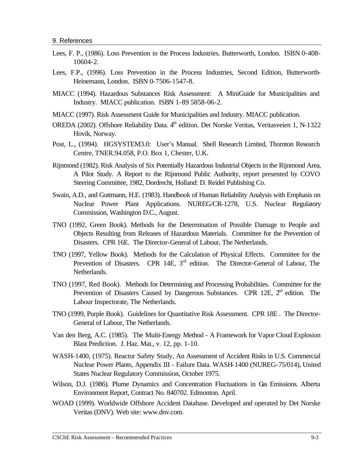- Lees, F. P., (1986). Loss Prevention in the Process Industries. Butterworth, London. ISBN 0-408- 10604-2.
- Lees, F.P., (1996). Loss Prevention in the Process Industries, Second Edition, Butterworth-Heinemann, London. ISBN 0-7506-1547-8.
- MIACC (1994). Hazardous Substances Risk Assessment: A MiniGuide for Municipalities and Industry. MIACC publication. ISBN 1-89 5858-06-2.
- MIACC (1997). Risk Assessment Guide for Municipalities and Industry. MIACC publication.
- OREDA (2002). Offshore Reliability Data. 4<sup>th</sup> edition. Det Norske Veritas, Veritasveien 1, N-1322 Hovik, Norway.
- Post, L., (1994). HGSYSTEM3.0: User's Manual. Shell Research Limited, Thornton Research Centre, TNER.94.058, P.O. Box 1, Chester, U.K.
- Rijnmond (1982). Risk Analysis of Six Potentially Hazardous Industrial Objects in the Rijnmond Area, A Pilot Study. A Report to the Rijnmond Public Authority, report presented by COVO Steering Committee, 1982, Dordrecht, Holland: D. Reidel Publishing Co.
- Swain, A.D., and Guttmann, H.E. (1983). Handbook of Human Reliability Analysis with Emphasis on Nuclear Power Plant Applications. NUREG/CR-1278, U.S. Nuclear Regulatory Commission, Washington D.C., August.
- TNO (1992, Green Book). Methods for the Determination of Possible Damage to People and Objects Resulting from Releases of Hazardous Materials. Committee for the Prevention of Disasters. CPR 16E. The Director-General of Labour, The Netherlands.
- TNO (1997, Yellow Book). Methods for the Calculation of Physical Effects. Committee for the Prevention of Disasters. CPR 14E, 3<sup>rd</sup> edition. The Director-General of Labour, The Netherlands.
- TNO (1997, Red Book). Methods for Determining and Processing Probabilities. Committee for the Prevention of Disasters Caused by Dangerous Substances. CPR 12E,  $2<sup>nd</sup>$  edition. The Labour Inspectorate, The Netherlands.
- TNO (1999, Purple Book). Guidelines for Quantitative Risk Assessment. CPR 18E . The Director-General of Labour, The Netherlands.
- Van den Berg, A.C. (1985). The Multi-Energy Method A Framework for Vapor Cloud Explosion Blast Prediction. J. Haz. Mat., v. 12, pp. 1-10.
- WASH-1400, (1975). Reactor Safety Study, An Assessment of Accident Risks in U.S. Commercial Nuclear Power Plants, Appendix III - Failure Data. WASH-1400 (NUREG-75/014), United States Nuclear Regulatory Commission, October 1975.
- Wilson, D.J. (1986). Plume Dynamics and Concentration Fluctuations in Gas Emissions. Alberta Environment Report, Contract No. 840702. Edmonton. April.
- WOAD (1999). Worldwide Offshore Accident Database. Developed and operated by Det Norske Veritas (DNV). Web site: www.dnv.com.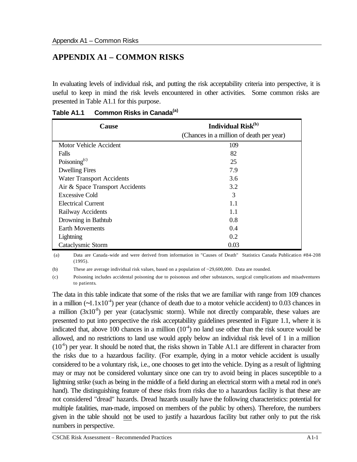# **APPENDIX A1 – COMMON RISKS**

In evaluating levels of individual risk, and putting the risk acceptability criteria into perspective, it is useful to keep in mind the risk levels encountered in other activities. Some common risks are presented in Table A1.1 for this purpose.

| Individual Risk <sup>(b)</sup><br><b>Cause</b> |                                          |
|------------------------------------------------|------------------------------------------|
|                                                | (Chances in a million of death per year) |
| Motor Vehicle Accident                         | 109                                      |
| Falls                                          | 82                                       |
| Poisoning <sup>(c)</sup>                       | 25                                       |
| <b>Dwelling Fires</b>                          | 7.9                                      |
| <b>Water Transport Accidents</b>               | 3.6                                      |
| Air & Space Transport Accidents                | 3.2                                      |
| Excessive Cold                                 | 3                                        |
| Electrical Current                             | 1.1                                      |
| Railway Accidents                              | 1.1                                      |
| Drowning in Bathtub                            | 0.8                                      |
| <b>Earth Movements</b>                         | 0.4                                      |
| Lightning                                      | 0.2                                      |
| Cataclysmic Storm                              | 0.03                                     |

**Table A1.1 Common Risks in Canada(a)**

 (a) Data are Canada-wide and were derived from information in "Causes of Death" Statistics Canada Publication #84-208 (1995).

(b) These are average individual risk values, based on a population of ~29,600,000. Data are rounded.

(c) Poisoning includes accidental poisoning due to poisonous and other substances, surgical complications and misadventures to patients.

The data in this table indicate that some of the risks that we are familiar with range from 109 chances in a million ( $\sim$ 1.1x10<sup>-4</sup>) per year (chance of death due to a motor vehicle accident) to 0.03 chances in a million  $(3x10<sup>8</sup>)$  per year (cataclysmic storm). While not directly comparable, these values are presented to put into perspective the risk acceptability guidelines presented in Figure 1.1, where it is indicated that, above 100 chances in a million  $(10<sup>4</sup>)$  no land use other than the risk source would be allowed, and no restrictions to land use would apply below an individual risk level of 1 in a million  $(10<sup>-6</sup>)$  per year. It should be noted that, the risks shown in Table A1.1 are different in character from the risks due to a hazardous facility. (For example, dying in a motor vehicle accident is usually considered to be a voluntary risk, i.e., one chooses to get into the vehicle. Dying as a result of lightning may or may not be considered voluntary since one can try to avoid being in places susceptible to a lightning strike (such as being in the middle of a field during an electrical storm with a metal rod in one's hand). The distinguishing feature of these risks from risks due to a hazardous facility is that these are not considered "dread" hazards. Dread hazards usually have the following characteristics: potential for multiple fatalities, man-made, imposed on members of the public by others). Therefore, the numbers given in the table should not be used to justify a hazardous facility but rather only to put the risk numbers in perspective.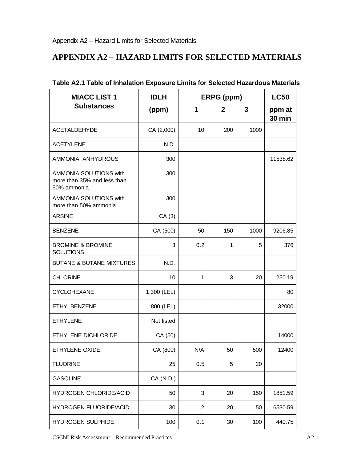## **APPENDIX A2 – HAZARD LIMITS FOR SELECTED MATERIALS**

| <b>MIACC LIST 1</b>                                                  | <b>IDLH</b> | ERPG (ppm)             |     |      | <b>LC50</b>             |
|----------------------------------------------------------------------|-------------|------------------------|-----|------|-------------------------|
| <b>Substances</b>                                                    | (ppm)       | 1<br>$\mathbf{2}$<br>3 |     |      | ppm at<br><b>30 min</b> |
| <b>ACETALDEHYDE</b>                                                  | CA (2,000)  | 10                     | 200 | 1000 |                         |
| <b>ACETYLENE</b>                                                     | N.D.        |                        |     |      |                         |
| AMMONIA, ANHYDROUS                                                   | 300         |                        |     |      | 11538.62                |
| AMMONIA SOLUTIONS with<br>more than 35% and less than<br>50% ammonia | 300         |                        |     |      |                         |
| AMMONIA SOLUTIONS with<br>more than 50% ammonia                      | 300         |                        |     |      |                         |
| <b>ARSINE</b>                                                        | CA(3)       |                        |     |      |                         |
| <b>BENZENE</b>                                                       | CA (500)    | 50                     | 150 | 1000 | 9206.85                 |
| <b>BROMINE &amp; BROMINE</b><br><b>SOLUTIONS</b>                     | 3           | 0.2                    | 1   | 5    | 376                     |
| <b>BUTANE &amp; BUTANE MIXTURES</b>                                  | N.D.        |                        |     |      |                         |
| <b>CHLORINE</b>                                                      | 10          | 1                      | 3   | 20   | 250.19                  |
| <b>CYCLOHEXANE</b>                                                   | 1,300 (LEL) |                        |     |      | 80                      |
| <b>ETHYLBENZENE</b>                                                  | 800 (LEL)   |                        |     |      | 32000                   |
| <b>ETHYLENE</b>                                                      | Not listed  |                        |     |      |                         |
| ETHYLENE DICHLORIDE                                                  | CA (50)     |                        |     |      | 14000                   |
| ETHYLENE OXIDE                                                       | CA (800)    | N/A                    | 50  | 500  | 12400                   |
| <b>FLUORINE</b>                                                      | 25          | 0.5                    | 5   | 20   |                         |
| <b>GASOLINE</b>                                                      | CA (N.D.)   |                        |     |      |                         |
| <b>HYDROGEN CHLORIDE/ACID</b>                                        | 50          | 3                      | 20  | 150  | 1851.59                 |
| <b>HYDROGEN FLUORIDE/ACID</b>                                        | 30          | $\overline{2}$         | 20  | 50   | 6530.59                 |
| <b>HYDROGEN SULPHIDE</b>                                             | 100         | 0.1                    | 30  | 100  | 440.75                  |

### **Table A2.1 Table of Inhalation Exposure Limits for Selected Hazardous Materials**

CSChE Risk Assessment – Recommended Practices A2-1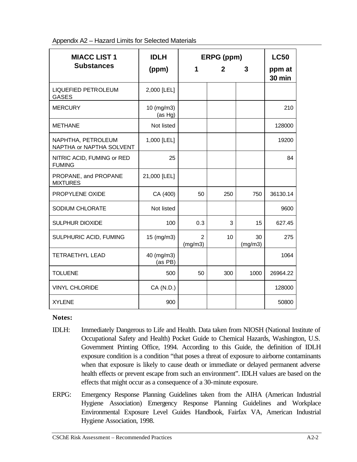|  | Appendix A2 - Hazard Limits for Selected Materials |  |  |  |  |  |
|--|----------------------------------------------------|--|--|--|--|--|
|--|----------------------------------------------------|--|--|--|--|--|

| <b>MIACC LIST 1</b>                            | <b>IDLH</b>           |              | ERPG (ppm)   |               | <b>LC50</b>             |
|------------------------------------------------|-----------------------|--------------|--------------|---------------|-------------------------|
| <b>Substances</b>                              | (ppm)                 | 1            | $\mathbf{2}$ | 3             | ppm at<br><b>30 min</b> |
| <b>LIQUEFIED PETROLEUM</b><br><b>GASES</b>     | 2,000 [LEL]           |              |              |               |                         |
| <b>MERCURY</b>                                 | 10 (mg/m3)<br>(as Hg) |              |              |               | 210                     |
| <b>METHANE</b>                                 | Not listed            |              |              |               | 128000                  |
| NAPHTHA, PETROLEUM<br>NAPTHA or NAPTHA SOLVENT | 1,000 [LEL]           |              |              |               | 19200                   |
| NITRIC ACID, FUMING or RED<br><b>FUMING</b>    | 25                    |              |              |               | 84                      |
| PROPANE, and PROPANE<br><b>MIXTURES</b>        | 21,000 [LEL]          |              |              |               |                         |
| PROPYLENE OXIDE                                | CA (400)              | 50           | 250          | 750           | 36130.14                |
| SODIUM CHLORATE                                | Not listed            |              |              |               | 9600                    |
| <b>SULPHUR DIOXIDE</b>                         | 100                   | 0.3          | 3            | 15            | 627.45                  |
| SULPHURIC ACID, FUMING                         | 15 (mg/m3)            | 2<br>(mg/m3) | 10           | 30<br>(mg/m3) | 275                     |
| <b>TETRAETHYL LEAD</b>                         | 40 (mg/m3)<br>(as PB) |              |              |               | 1064                    |
| <b>TOLUENE</b>                                 | 500                   | 50           | 300          | 1000          | 26964.22                |
| <b>VINYL CHLORIDE</b>                          | CA (N.D.)             |              |              |               | 128000                  |
| <b>XYLENE</b>                                  | 900                   |              |              |               | 50800                   |

**Notes:**

- IDLH: Immediately Dangerous to Life and Health. Data taken from NIOSH (National Institute of Occupational Safety and Health) Pocket Guide to Chemical Hazards, Washington, U.S. Government Printing Office, 1994. According to this Guide, the definition of IDLH exposure condition is a condition "that poses a threat of exposure to airborne contaminants when that exposure is likely to cause death or immediate or delayed permanent adverse health effects or prevent escape from such an environment". IDLH values are based on the effects that might occur as a consequence of a 30-minute exposure.
- ERPG: Emergency Response Planning Guidelines taken from the AIHA (American Industrial Hygiene Association) Emergency Response Planning Guidelines and Workplace Environmental Exposure Level Guides Handbook, Fairfax VA, American Industrial Hygiene Association, 1998.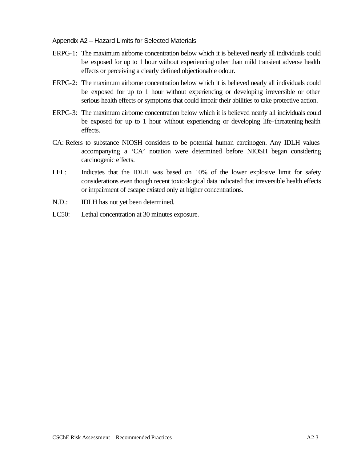#### Appendix A2 – Hazard Limits for Selected Materials

- ERPG-1: The maximum airborne concentration below which it is believed nearly all individuals could be exposed for up to 1 hour without experiencing other than mild transient adverse health effects or perceiving a clearly defined objectionable odour.
- ERPG-2: The maximum airborne concentration below which it is believed nearly all individuals could be exposed for up to 1 hour without experiencing or developing irreversible or other serious health effects or symptoms that could impair their abilities to take protective action.
- ERPG-3: The maximum airborne concentration below which it is believed nearly all individuals could be exposed for up to 1 hour without experiencing or developing life-threatening health effects.
- CA: Refers to substance NIOSH considers to be potential human carcinogen. Any IDLH values accompanying a 'CA' notation were determined before NIOSH began considering carcinogenic effects.
- LEL: Indicates that the IDLH was based on 10% of the lower explosive limit for safety considerations even though recent toxicological data indicated that irreversible health effects or impairment of escape existed only at higher concentrations.
- N.D.: IDLH has not yet been determined.
- LC50: Lethal concentration at 30 minutes exposure.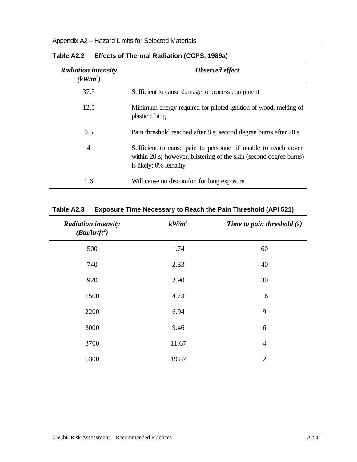| <b>Radiation intensity</b><br>$(kW/m^2)$ | Observed effect                                                                                                                                                 |
|------------------------------------------|-----------------------------------------------------------------------------------------------------------------------------------------------------------------|
| 37.5                                     | Sufficient to cause damage to process equipment                                                                                                                 |
| 12.5                                     | Minimum energy required for piloted ignition of wood, melting of<br>plastic tubing                                                                              |
| 9.5                                      | Pain threshold reached after 8 s; second degree burns after 20 s                                                                                                |
| 4                                        | Sufficient to cause pain to personnel if unable to reach cover<br>within 20 s; however, blistering of the skin (second degree burns)<br>is likely; 0% lethality |
| 1.6                                      | Will cause no discomfort for long exposure                                                                                                                      |

| Table A2.2 Effects of Thermal Radiation (CCPS, 1989a) |  |  |  |  |  |
|-------------------------------------------------------|--|--|--|--|--|
|-------------------------------------------------------|--|--|--|--|--|

| <b>Radiation intensity</b><br>$(Btu/hr/ft^2)$ | $kW/m^2$ | Time to pain threshold $(s)$ |
|-----------------------------------------------|----------|------------------------------|
| 500                                           | 1.74     | 60                           |
| 740                                           | 2.33     | 40                           |
| 920                                           | 2.90     | 30                           |
| 1500                                          | 4.73     | 16                           |
| 2200                                          | 6.94     | 9                            |
| 3000                                          | 9.46     | 6                            |
| 3700                                          | 11.67    | $\overline{4}$               |
| 6300                                          | 19.87    | $\overline{2}$               |

### **Table A2.3 Exposure Time Necessary to Reach the Pain Threshold (API 521)**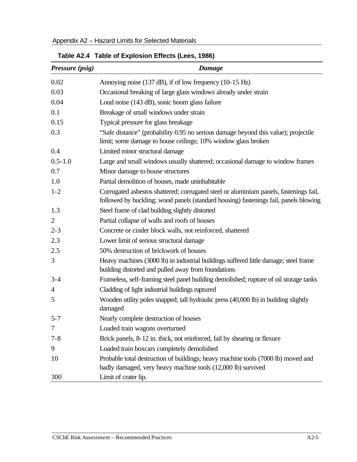|                 | Table A2.4 Table of Explosion Effects (Lees, 1986)                                                                                                                            |
|-----------------|-------------------------------------------------------------------------------------------------------------------------------------------------------------------------------|
| Pressure (psig) | Damage                                                                                                                                                                        |
| 0.02            | Annoying noise (137 dB), if of low frequency (10-15 Hz)                                                                                                                       |
| 0.03            | Occasional breaking of large glass windows already under strain                                                                                                               |
| 0.04            | Loud noise (143 dB), sonic boom glass failure                                                                                                                                 |
| 0.1             | Breakage of small windows under strain                                                                                                                                        |
| 0.15            | Typical pressure for glass breakage                                                                                                                                           |
| 0.3             | "Safe distance" (probability 0.95 no serious damage beyond this value); projectile<br>limit; some damage to house ceilings; 10% window glass broken                           |
| 0.4             | Limited minor structural damage                                                                                                                                               |
| $0.5 - 1.0$     | Large and small windows usually shattered; occasional damage to window frames                                                                                                 |
| 0.7             | Minor damage to house structures                                                                                                                                              |
| 1.0             | Partial demolition of houses, made uninhabitable                                                                                                                              |
| $1 - 2$         | Corrugated asbestos shattered; corrugated steel or aluminium panels, fastenings fail,<br>followed by buckling; wood panels (standard housing) fastenings fail, panels blowing |
| 1.3             | Steel frame of clad building slightly distorted                                                                                                                               |
| 2               | Partial collapse of walls and roofs of houses                                                                                                                                 |
| $2 - 3$         | Concrete or cinder block walls, not reinforced, shattered                                                                                                                     |
| 2.3             | Lower limit of serious structural damage                                                                                                                                      |
| 2.5             | 50% destruction of brickwork of houses                                                                                                                                        |
| 3               | Heavy machines (3000 lb) in industrial buildings suffered little damage; steel frame<br>building distorted and pulled away from foundations                                   |
| $3 - 4$         | Frameless, self-framing steel panel building demolished; rupture of oil storage tanks                                                                                         |
| $\overline{4}$  | Cladding of light industrial buildings ruptured                                                                                                                               |
| 5               | Wooden utility poles snapped; tall hydraulic press (40,000 lb) in building slightly<br>damaged                                                                                |
| $5 - 7$         | Nearly complete destruction of houses                                                                                                                                         |
| 7               | Loaded train wagons overturned                                                                                                                                                |
| $7 - 8$         | Brick panels, 8-12 in. thick, not reinforced, fail by shearing or flexure                                                                                                     |
| 9               | Loaded train boxcars completely demolished                                                                                                                                    |
| 10              | Probable total destruction of buildings; heavy machine tools (7000 lb) moved and<br>badly damaged, very heavy machine tools (12,000 lb) survived                              |
| 300             | Limit of crater lip.                                                                                                                                                          |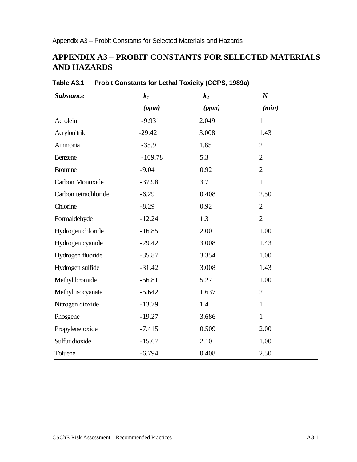## **APPENDIX A3 – PROBIT CONSTANTS FOR SELECTED MATERIALS AND HAZARDS**

| <b>Substance</b>     | $k_1$     | $k_2$ | $\boldsymbol{N}$ |  |
|----------------------|-----------|-------|------------------|--|
|                      | (ppm)     | (ppm) | (min)            |  |
| Acrolein             | $-9.931$  | 2.049 | $\mathbf{1}$     |  |
| Acrylonitrile        | $-29.42$  | 3.008 | 1.43             |  |
| Ammonia              | $-35.9$   | 1.85  | $\overline{2}$   |  |
| Benzene              | $-109.78$ | 5.3   | $\overline{2}$   |  |
| <b>Bromine</b>       | $-9.04$   | 0.92  | $\mathbf{2}$     |  |
| Carbon Monoxide      | $-37.98$  | 3.7   | $\mathbf{1}$     |  |
| Carbon tetrachloride | $-6.29$   | 0.408 | 2.50             |  |
| Chlorine             | $-8.29$   | 0.92  | $\overline{2}$   |  |
| Formaldehyde         | $-12.24$  | 1.3   | $\overline{2}$   |  |
| Hydrogen chloride    | $-16.85$  | 2.00  | 1.00             |  |
| Hydrogen cyanide     | $-29.42$  | 3.008 | 1.43             |  |
| Hydrogen fluoride    | $-35.87$  | 3.354 | 1.00             |  |
| Hydrogen sulfide     | $-31.42$  | 3.008 | 1.43             |  |
| Methyl bromide       | $-56.81$  | 5.27  | 1.00             |  |
| Methyl isocyanate    | $-5.642$  | 1.637 | $\overline{2}$   |  |
| Nitrogen dioxide     | $-13.79$  | 1.4   | $\mathbf{1}$     |  |
| Phosgene             | $-19.27$  | 3.686 | $\mathbf{1}$     |  |
| Propylene oxide      | $-7.415$  | 0.509 | 2.00             |  |
| Sulfur dioxide       | $-15.67$  | 2.10  | 1.00             |  |
| Toluene              | $-6.794$  | 0.408 | 2.50             |  |

**Table A3.1 Probit Constants for Lethal Toxicity (CCPS, 1989a)**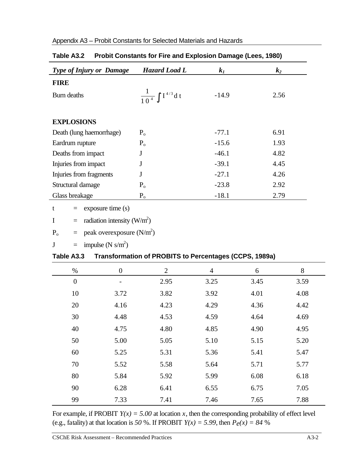| <b>Type of Injury or Damage</b> | Hazard Load L                    | $k_1$   | $\mathbf{k}_2$ |
|---------------------------------|----------------------------------|---------|----------------|
| <b>FIRE</b>                     |                                  |         |                |
| Burn deaths                     | $\frac{1}{10^4} \int I^{4/3} dt$ | $-14.9$ | 2.56           |
|                                 |                                  |         |                |
| <b>EXPLOSIONS</b>               |                                  |         |                |
| Death (lung haemorrhage)        | $P_{o}$                          | $-77.1$ | 6.91           |
| Eardrum rupture                 | $P_{o}$                          | $-15.6$ | 1.93           |
| Deaths from impact              | J                                | $-46.1$ | 4.82           |
| Injuries from impact            | J                                | $-39.1$ | 4.45           |
| Injuries from fragments         | J                                | $-27.1$ | 4.26           |
| Structural damage               | P <sub>o</sub>                   | $-23.8$ | 2.92           |
| Glass breakage                  | $P_{o}$                          | $-18.1$ | 2.79           |
|                                 |                                  |         |                |

### Appendix A3 – Probit Constants for Selected Materials and Hazards

|  | Table A3.2 Probit Constants for Fire and Explosion Damage (Lees, 1980) |  |  |  |
|--|------------------------------------------------------------------------|--|--|--|
|--|------------------------------------------------------------------------|--|--|--|

 $t =$  exposure time (s)

$$
I = radiation intensity (W/m2)
$$

$$
P_o
$$
 = peak overexposure (N/m<sup>2</sup>)

$$
J = \text{impulse (N s/m}^2)
$$

### **Table A3.3 Transformation of PROBITS to Percentages (CCPS, 1989a)**

| $\%$             | $\boldsymbol{0}$         | $\overline{2}$ | $\overline{4}$ | 6    | 8    |
|------------------|--------------------------|----------------|----------------|------|------|
| $\boldsymbol{0}$ | $\overline{\phantom{a}}$ | 2.95           | 3.25           | 3.45 | 3.59 |
| 10               | 3.72                     | 3.82           | 3.92           | 4.01 | 4.08 |
| 20               | 4.16                     | 4.23           | 4.29           | 4.36 | 4.42 |
| 30               | 4.48                     | 4.53           | 4.59           | 4.64 | 4.69 |
| 40               | 4.75                     | 4.80           | 4.85           | 4.90 | 4.95 |
| 50               | 5.00                     | 5.05           | 5.10           | 5.15 | 5.20 |
| 60               | 5.25                     | 5.31           | 5.36           | 5.41 | 5.47 |
| 70               | 5.52                     | 5.58           | 5.64           | 5.71 | 5.77 |
| 80               | 5.84                     | 5.92           | 5.99           | 6.08 | 6.18 |
| 90               | 6.28                     | 6.41           | 6.55           | 6.75 | 7.05 |
| 99               | 7.33                     | 7.41           | 7.46           | 7.65 | 7.88 |

For example, if PROBIT  $Y(x) = 5.00$  at location *x*, then the corresponding probability of effect level (e.g., fatality) at that location is 50 %. If PROBIT  $Y(x) = 5.99$ , then  $P_e(x) = 84$  %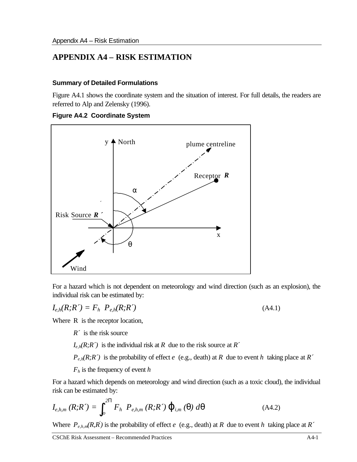### **APPENDIX A4 – RISK ESTIMATION**

#### **Summary of Detailed Formulations**

Figure A4.1 shows the coordinate system and the situation of interest. For full details, the readers are referred to Alp and Zelensky (1996).

**Figure A4.2 Coordinate System**



For a hazard which is not dependent on meteorology and wind direction (such as an explosion), the individual risk can be estimated by:

$$
I_{e,h}(R;R') = F_h \ P_{e,h}(R;R')
$$
\n(A4.1)

Where R is the receptor location,

*R´* is the risk source

 $I_{e,h}(R;R')$  is the individual risk at *R* due to the risk source at *R*<sup> $\prime$ </sup>

 $P_{e,h}(R;R')$  is the probability of effect *e* (e.g., death) at *R* due to event *h* taking place at *R*<sup> $\prime$ </sup>

*Fh* is the frequency of event *h*

For a hazard which depends on meteorology and wind direction (such as a toxic cloud), the individual risk can be estimated by:

$$
I_{e,h,m}(R;R') = \int_{o}^{2P} F_h \ P_{e,h,m}(R;R') \mathbf{j}_{i,m}(\mathbf{q}) d\mathbf{q}
$$
 (A4.2)

Where  $P_{e,h,m}(R,R^{'})$  is the probability of effect *e* (e.g., death) at *R* due to event *h* taking place at *R*<sup> $\prime$ </sup>